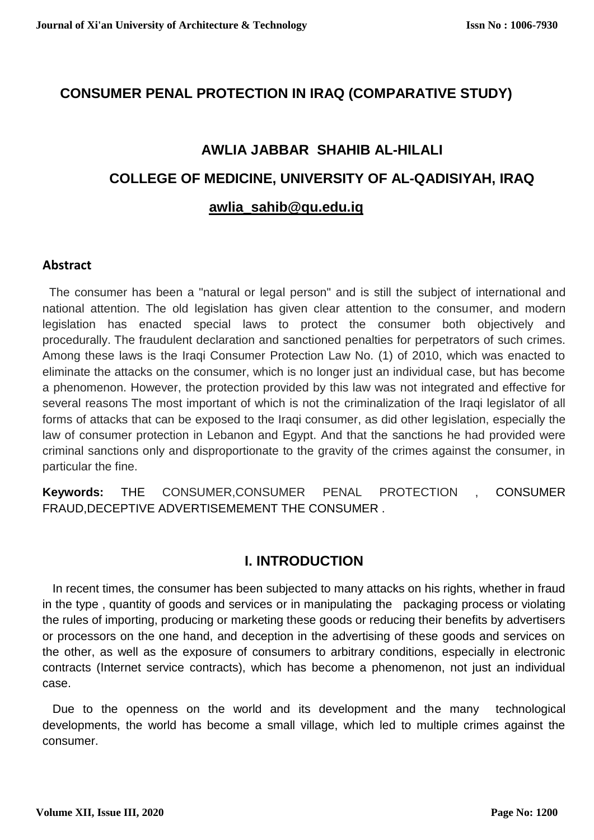# **CONSUMER PENAL PROTECTION IN IRAQ (COMPARATIVE STUDY)**

# **AWLIA JABBAR SHAHIB AL-HILALI COLLEGE OF MEDICINE, UNIVERSITY OF AL-QADISIYAH, IRAQ awlia\_sahib@qu.edu.iq**

# **Abstract**

 The consumer has been a "natural or legal person" and is still the subject of international and national attention. The old legislation has given clear attention to the consumer, and modern legislation has enacted special laws to protect the consumer both objectively and procedurally. The fraudulent declaration and sanctioned penalties for perpetrators of such crimes. Among these laws is the Iraqi Consumer Protection Law No. (1) of 2010, which was enacted to eliminate the attacks on the consumer, which is no longer just an individual case, but has become a phenomenon. However, the protection provided by this law was not integrated and effective for several reasons The most important of which is not the criminalization of the Iraqi legislator of all forms of attacks that can be exposed to the Iraqi consumer, as did other legislation, especially the law of consumer protection in Lebanon and Egypt. And that the sanctions he had provided were criminal sanctions only and disproportionate to the gravity of the crimes against the consumer, in particular the fine.

**Keywords:** THE CONSUMER,CONSUMER PENAL PROTECTION , CONSUMER FRAUD,DECEPTIVE ADVERTISEMEMENT THE CONSUMER .

# **I. INTRODUCTION**

 In recent times, the consumer has been subjected to many attacks on his rights, whether in fraud in the type , quantity of goods and services or in manipulating the packaging process or violating the rules of importing, producing or marketing these goods or reducing their benefits by advertisers or processors on the one hand, and deception in the advertising of these goods and services on the other, as well as the exposure of consumers to arbitrary conditions, especially in electronic contracts (Internet service contracts), which has become a phenomenon, not just an individual case.

 Due to the openness on the world and its development and the many technological developments, the world has become a small village, which led to multiple crimes against the consumer.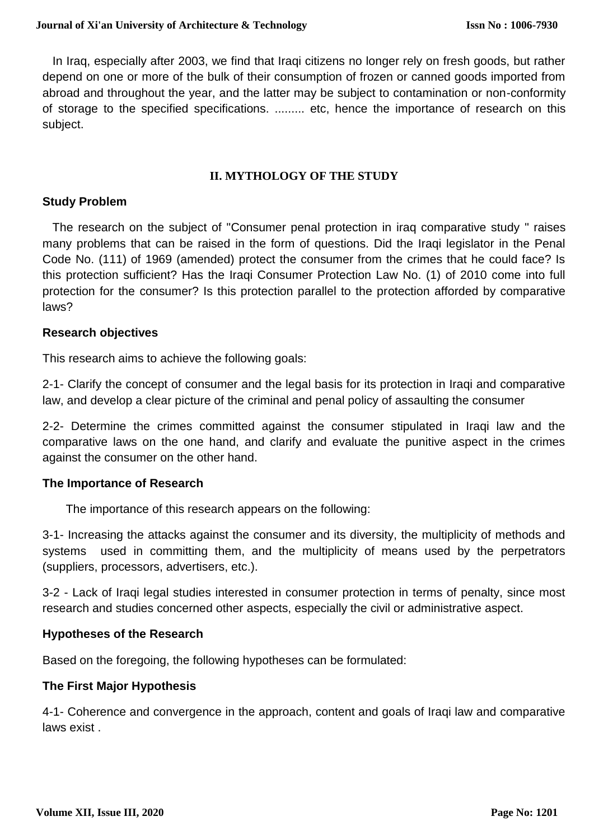In Iraq, especially after 2003, we find that Iraqi citizens no longer rely on fresh goods, but rather depend on one or more of the bulk of their consumption of frozen or canned goods imported from abroad and throughout the year, and the latter may be subject to contamination or non-conformity of storage to the specified specifications. ......... etc, hence the importance of research on this subject.

# **II. MYTHOLOGY OF THE STUDY**

#### **Study Problem**

 The research on the subject of "Consumer penal protection in iraq comparative study " raises many problems that can be raised in the form of questions. Did the Iraqi legislator in the Penal Code No. (111) of 1969 (amended) protect the consumer from the crimes that he could face? Is this protection sufficient? Has the Iraqi Consumer Protection Law No. (1) of 2010 come into full protection for the consumer? Is this protection parallel to the protection afforded by comparative laws?

#### **Research objectives**

This research aims to achieve the following goals:

2-1- Clarify the concept of consumer and the legal basis for its protection in Iraqi and comparative law, and develop a clear picture of the criminal and penal policy of assaulting the consumer

2-2- Determine the crimes committed against the consumer stipulated in Iraqi law and the comparative laws on the one hand, and clarify and evaluate the punitive aspect in the crimes against the consumer on the other hand.

# **The Importance of Research**

The importance of this research appears on the following:

3-1- Increasing the attacks against the consumer and its diversity, the multiplicity of methods and systems used in committing them, and the multiplicity of means used by the perpetrators (suppliers, processors, advertisers, etc.).

3-2 - Lack of Iraqi legal studies interested in consumer protection in terms of penalty, since most research and studies concerned other aspects, especially the civil or administrative aspect.

# **Hypotheses of the Research**

Based on the foregoing, the following hypotheses can be formulated:

#### **The First Major Hypothesis**

4-1- Coherence and convergence in the approach, content and goals of Iraqi law and comparative laws exist .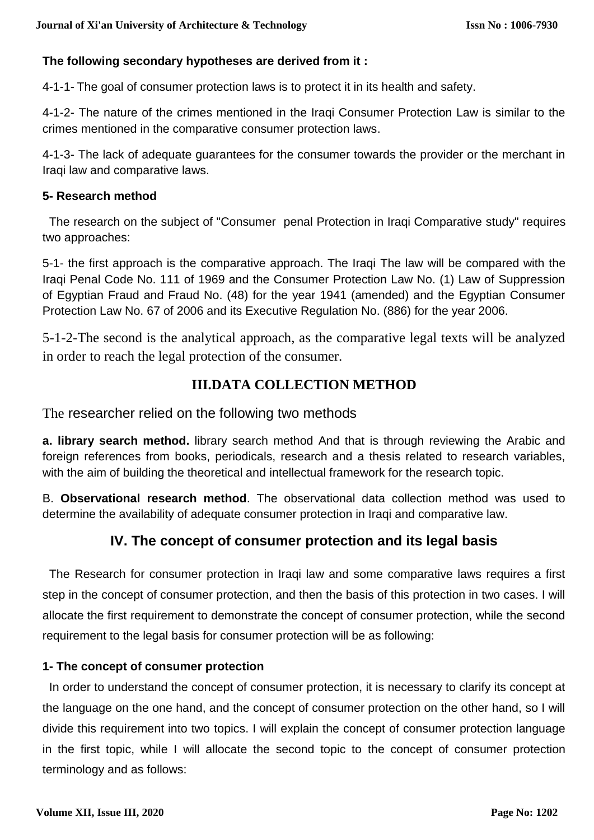# **The following secondary hypotheses are derived from it :**

4-1-1- The goal of consumer protection laws is to protect it in its health and safety.

4-1-2- The nature of the crimes mentioned in the Iraqi Consumer Protection Law is similar to the crimes mentioned in the comparative consumer protection laws.

4-1-3- The lack of adequate guarantees for the consumer towards the provider or the merchant in Iraqi law and comparative laws.

# **5- Research method**

 The research on the subject of "Consumer penal Protection in Iraqi Comparative study" requires two approaches:

5-1- the first approach is the comparative approach. The Iraqi The law will be compared with the Iraqi Penal Code No. 111 of 1969 and the Consumer Protection Law No. (1) Law of Suppression of Egyptian Fraud and Fraud No. (48) for the year 1941 (amended) and the Egyptian Consumer Protection Law No. 67 of 2006 and its Executive Regulation No. (886) for the year 2006.

5-1-2-The second is the analytical approach, as the comparative legal texts will be analyzed in order to reach the legal protection of the consumer.

# **III.DATA COLLECTION METHOD**

The researcher relied on the following two methods

**a. library search method.** library search method And that is through reviewing the Arabic and foreign references from books, periodicals, research and a thesis related to research variables, with the aim of building the theoretical and intellectual framework for the research topic.

B. **Observational research method**. The observational data collection method was used to determine the availability of adequate consumer protection in Iraqi and comparative law.

# **IV. The concept of consumer protection and its legal basis**

 The Research for consumer protection in Iraqi law and some comparative laws requires a first step in the concept of consumer protection, and then the basis of this protection in two cases. I will allocate the first requirement to demonstrate the concept of consumer protection, while the second requirement to the legal basis for consumer protection will be as following:

# **1- The concept of consumer protection**

 In order to understand the concept of consumer protection, it is necessary to clarify its concept at the language on the one hand, and the concept of consumer protection on the other hand, so I will divide this requirement into two topics. I will explain the concept of consumer protection language in the first topic, while I will allocate the second topic to the concept of consumer protection terminology and as follows: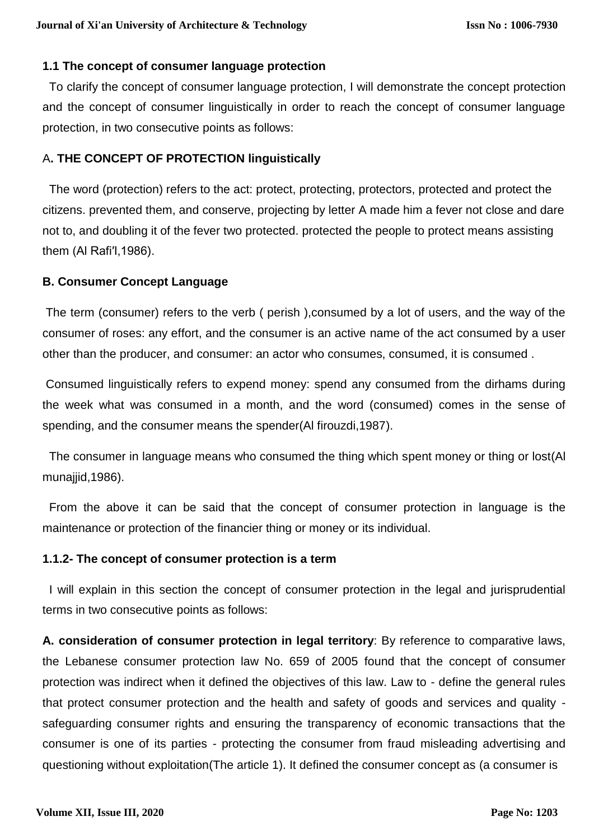## **1.1 The concept of consumer language protection**

 To clarify the concept of consumer language protection, I will demonstrate the concept protection and the concept of consumer linguistically in order to reach the concept of consumer language protection, in two consecutive points as follows:

# A**. THE CONCEPT OF PROTECTION linguistically**

 The word (protection) refers to the act: protect, protecting, protectors, protected and protect the citizens. prevented them, and conserve, projecting by letter A made him a fever not close and dare not to, and doubling it of the fever two protected. protected the people to protect means assisting them (Al Rafi′I,1986).

# **B. Consumer Concept Language**

The term (consumer) refers to the verb ( perish ),consumed by a lot of users, and the way of the consumer of roses: any effort, and the consumer is an active name of the act consumed by a user other than the producer, and consumer: an actor who consumes, consumed, it is consumed .

Consumed linguistically refers to expend money: spend any consumed from the dirhams during the week what was consumed in a month, and the word (consumed) comes in the sense of spending, and the consumer means the spender(Al firouzdi,1987).

 The consumer in language means who consumed the thing which spent money or thing or lost(Al munajjid,1986).

 From the above it can be said that the concept of consumer protection in language is the maintenance or protection of the financier thing or money or its individual.

# **1.1.2- The concept of consumer protection is a term**

 I will explain in this section the concept of consumer protection in the legal and jurisprudential terms in two consecutive points as follows:

**A. consideration of consumer protection in legal territory**: By reference to comparative laws, the Lebanese consumer protection law No. 659 of 2005 found that the concept of consumer protection was indirect when it defined the objectives of this law. Law to - define the general rules that protect consumer protection and the health and safety of goods and services and quality safeguarding consumer rights and ensuring the transparency of economic transactions that the consumer is one of its parties - protecting the consumer from fraud misleading advertising and questioning without exploitation(The article 1). It defined the consumer concept as (a consumer is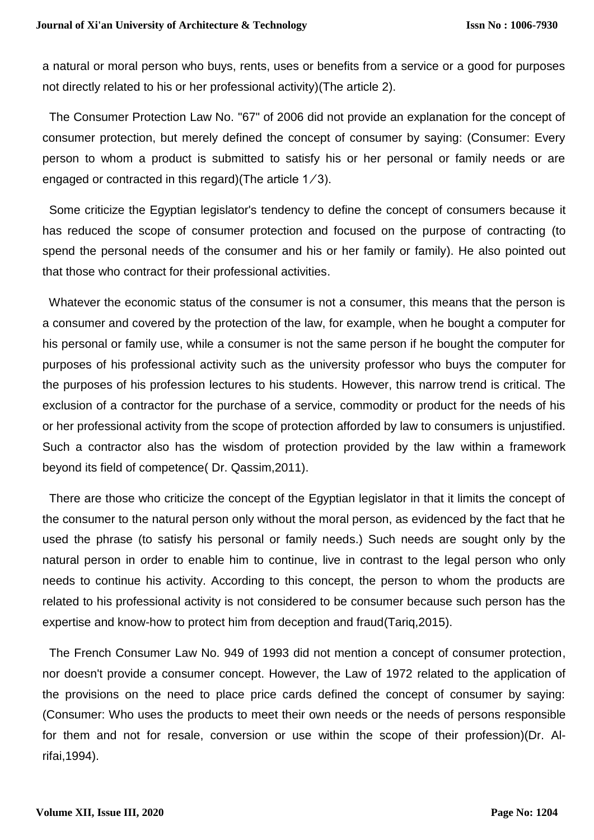a natural or moral person who buys, rents, uses or benefits from a service or a good for purposes not directly related to his or her professional activity)(The article 2).

The Consumer Protection Law No. "67" of 2006 did not provide an explanation for the concept of consumer protection, but merely defined the concept of consumer by saying: (Consumer: Every person to whom a product is submitted to satisfy his or her personal or family needs or are engaged or contracted in this regard)(The article  $1/3$ ).

 Some criticize the Egyptian legislator's tendency to define the concept of consumers because it has reduced the scope of consumer protection and focused on the purpose of contracting (to spend the personal needs of the consumer and his or her family or family). He also pointed out that those who contract for their professional activities.

 Whatever the economic status of the consumer is not a consumer, this means that the person is a consumer and covered by the protection of the law, for example, when he bought a computer for his personal or family use, while a consumer is not the same person if he bought the computer for purposes of his professional activity such as the university professor who buys the computer for the purposes of his profession lectures to his students. However, this narrow trend is critical. The exclusion of a contractor for the purchase of a service, commodity or product for the needs of his or her professional activity from the scope of protection afforded by law to consumers is unjustified. Such a contractor also has the wisdom of protection provided by the law within a framework beyond its field of competence( Dr. Qassim,2011).

 There are those who criticize the concept of the Egyptian legislator in that it limits the concept of the consumer to the natural person only without the moral person, as evidenced by the fact that he used the phrase (to satisfy his personal or family needs.) Such needs are sought only by the natural person in order to enable him to continue, live in contrast to the legal person who only needs to continue his activity. According to this concept, the person to whom the products are related to his professional activity is not considered to be consumer because such person has the expertise and know-how to protect him from deception and fraud(Tariq,2015).

 The French Consumer Law No. 949 of 1993 did not mention a concept of consumer protection, nor doesn't provide a consumer concept. However, the Law of 1972 related to the application of the provisions on the need to place price cards defined the concept of consumer by saying: (Consumer: Who uses the products to meet their own needs or the needs of persons responsible for them and not for resale, conversion or use within the scope of their profession)(Dr. Alrifai,1994).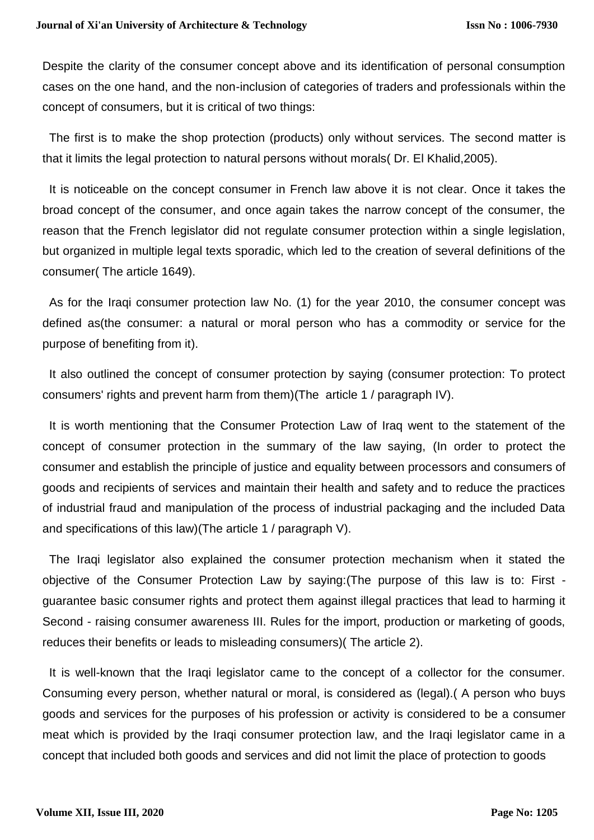Despite the clarity of the consumer concept above and its identification of personal consumption cases on the one hand, and the non-inclusion of categories of traders and professionals within the concept of consumers, but it is critical of two things:

 The first is to make the shop protection (products) only without services. The second matter is that it limits the legal protection to natural persons without morals( Dr. El Khalid,2005).

 It is noticeable on the concept consumer in French law above it is not clear. Once it takes the broad concept of the consumer, and once again takes the narrow concept of the consumer, the reason that the French legislator did not regulate consumer protection within a single legislation, but organized in multiple legal texts sporadic, which led to the creation of several definitions of the consumer( The article 1649).

 As for the Iraqi consumer protection law No. (1) for the year 2010, the consumer concept was defined as(the consumer: a natural or moral person who has a commodity or service for the purpose of benefiting from it).

 It also outlined the concept of consumer protection by saying (consumer protection: To protect consumers' rights and prevent harm from them)(The article 1 / paragraph IV).

 It is worth mentioning that the Consumer Protection Law of Iraq went to the statement of the concept of consumer protection in the summary of the law saying, (In order to protect the consumer and establish the principle of justice and equality between processors and consumers of goods and recipients of services and maintain their health and safety and to reduce the practices of industrial fraud and manipulation of the process of industrial packaging and the included Data and specifications of this law)(The article 1 / paragraph V).

 The Iraqi legislator also explained the consumer protection mechanism when it stated the objective of the Consumer Protection Law by saying:(The purpose of this law is to: First guarantee basic consumer rights and protect them against illegal practices that lead to harming it Second - raising consumer awareness III. Rules for the import, production or marketing of goods, reduces their benefits or leads to misleading consumers)( The article 2).

 It is well-known that the Iraqi legislator came to the concept of a collector for the consumer. Consuming every person, whether natural or moral, is considered as (legal).( A person who buys goods and services for the purposes of his profession or activity is considered to be a consumer meat which is provided by the Iraqi consumer protection law, and the Iraqi legislator came in a concept that included both goods and services and did not limit the place of protection to goods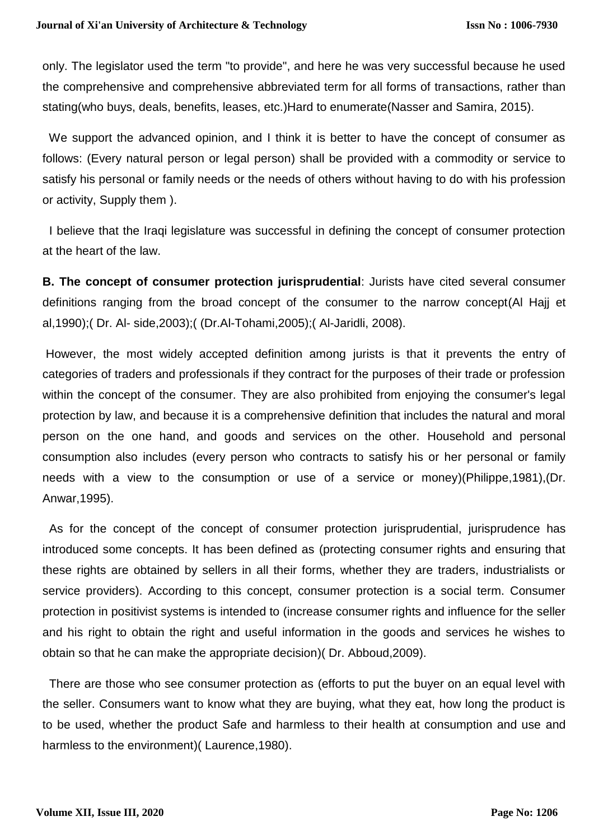only. The legislator used the term "to provide", and here he was very successful because he used the comprehensive and comprehensive abbreviated term for all forms of transactions, rather than stating(who buys, deals, benefits, leases, etc.)Hard to enumerate(Nasser and Samira, 2015).

We support the advanced opinion, and I think it is better to have the concept of consumer as follows: (Every natural person or legal person) shall be provided with a commodity or service to satisfy his personal or family needs or the needs of others without having to do with his profession or activity, Supply them ).

 I believe that the Iraqi legislature was successful in defining the concept of consumer protection at the heart of the law.

**B. The concept of consumer protection jurisprudential**: Jurists have cited several consumer definitions ranging from the broad concept of the consumer to the narrow concept(Al Hajj et al,1990);( Dr. Al- side,2003);( (Dr.Al-Tohami,2005);( Al-Jaridli, 2008).

However, the most widely accepted definition among jurists is that it prevents the entry of categories of traders and professionals if they contract for the purposes of their trade or profession within the concept of the consumer. They are also prohibited from enjoying the consumer's legal protection by law, and because it is a comprehensive definition that includes the natural and moral person on the one hand, and goods and services on the other. Household and personal consumption also includes (every person who contracts to satisfy his or her personal or family needs with a view to the consumption or use of a service or money)(Philippe,1981),(Dr. Anwar,1995).

 As for the concept of the concept of consumer protection jurisprudential, jurisprudence has introduced some concepts. It has been defined as (protecting consumer rights and ensuring that these rights are obtained by sellers in all their forms, whether they are traders, industrialists or service providers). According to this concept, consumer protection is a social term. Consumer protection in positivist systems is intended to (increase consumer rights and influence for the seller and his right to obtain the right and useful information in the goods and services he wishes to obtain so that he can make the appropriate decision)( Dr. Abboud,2009).

 There are those who see consumer protection as (efforts to put the buyer on an equal level with the seller. Consumers want to know what they are buying, what they eat, how long the product is to be used, whether the product Safe and harmless to their health at consumption and use and harmless to the environment)( Laurence,1980).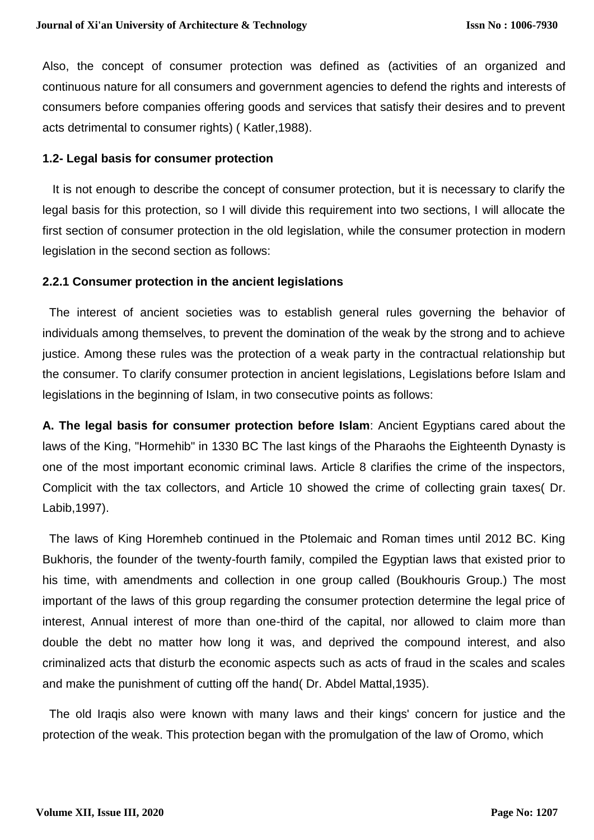Also, the concept of consumer protection was defined as (activities of an organized and continuous nature for all consumers and government agencies to defend the rights and interests of consumers before companies offering goods and services that satisfy their desires and to prevent acts detrimental to consumer rights) ( Katler,1988).

#### **1.2- Legal basis for consumer protection**

 It is not enough to describe the concept of consumer protection, but it is necessary to clarify the legal basis for this protection, so I will divide this requirement into two sections, I will allocate the first section of consumer protection in the old legislation, while the consumer protection in modern legislation in the second section as follows:

#### **2.2.1 Consumer protection in the ancient legislations**

 The interest of ancient societies was to establish general rules governing the behavior of individuals among themselves, to prevent the domination of the weak by the strong and to achieve justice. Among these rules was the protection of a weak party in the contractual relationship but the consumer. To clarify consumer protection in ancient legislations, Legislations before Islam and legislations in the beginning of Islam, in two consecutive points as follows:

**A. The legal basis for consumer protection before Islam**: Ancient Egyptians cared about the laws of the King, "Hormehib" in 1330 BC The last kings of the Pharaohs the Eighteenth Dynasty is one of the most important economic criminal laws. Article 8 clarifies the crime of the inspectors, Complicit with the tax collectors, and Article 10 showed the crime of collecting grain taxes( Dr. Labib,1997).

 The laws of King Horemheb continued in the Ptolemaic and Roman times until 2012 BC. King Bukhoris, the founder of the twenty-fourth family, compiled the Egyptian laws that existed prior to his time, with amendments and collection in one group called (Boukhouris Group.) The most important of the laws of this group regarding the consumer protection determine the legal price of interest, Annual interest of more than one-third of the capital, nor allowed to claim more than double the debt no matter how long it was, and deprived the compound interest, and also criminalized acts that disturb the economic aspects such as acts of fraud in the scales and scales and make the punishment of cutting off the hand( Dr. Abdel Mattal,1935).

 The old Iraqis also were known with many laws and their kings' concern for justice and the protection of the weak. This protection began with the promulgation of the law of Oromo, which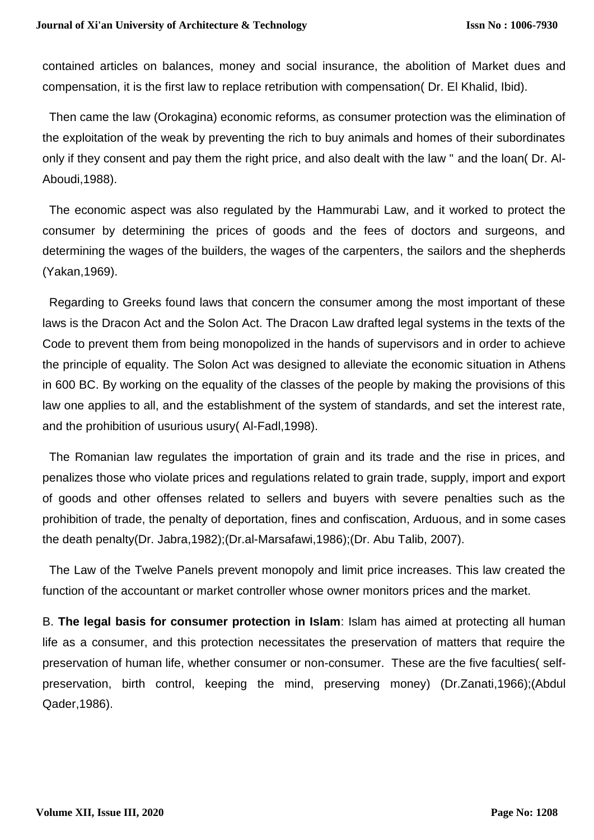contained articles on balances, money and social insurance, the abolition of Market dues and compensation, it is the first law to replace retribution with compensation( Dr. El Khalid, Ibid).

 Then came the law (Orokagina) economic reforms, as consumer protection was the elimination of the exploitation of the weak by preventing the rich to buy animals and homes of their subordinates only if they consent and pay them the right price, and also dealt with the law " and the loan( Dr. Al-Aboudi,1988).

 The economic aspect was also regulated by the Hammurabi Law, and it worked to protect the consumer by determining the prices of goods and the fees of doctors and surgeons, and determining the wages of the builders, the wages of the carpenters, the sailors and the shepherds (Yakan,1969).

 Regarding to Greeks found laws that concern the consumer among the most important of these laws is the Dracon Act and the Solon Act. The Dracon Law drafted legal systems in the texts of the Code to prevent them from being monopolized in the hands of supervisors and in order to achieve the principle of equality. The Solon Act was designed to alleviate the economic situation in Athens in 600 BC. By working on the equality of the classes of the people by making the provisions of this law one applies to all, and the establishment of the system of standards, and set the interest rate, and the prohibition of usurious usury( Al-Fadl,1998).

 The Romanian law regulates the importation of grain and its trade and the rise in prices, and penalizes those who violate prices and regulations related to grain trade, supply, import and export of goods and other offenses related to sellers and buyers with severe penalties such as the prohibition of trade, the penalty of deportation, fines and confiscation, Arduous, and in some cases the death penalty(Dr. Jabra,1982);(Dr.al-Marsafawi,1986);(Dr. Abu Talib, 2007).

 The Law of the Twelve Panels prevent monopoly and limit price increases. This law created the function of the accountant or market controller whose owner monitors prices and the market.

B. **The legal basis for consumer protection in Islam**: Islam has aimed at protecting all human life as a consumer, and this protection necessitates the preservation of matters that require the preservation of human life, whether consumer or non-consumer. These are the five faculties( selfpreservation, birth control, keeping the mind, preserving money) (Dr.Zanati,1966);(Abdul Qader,1986).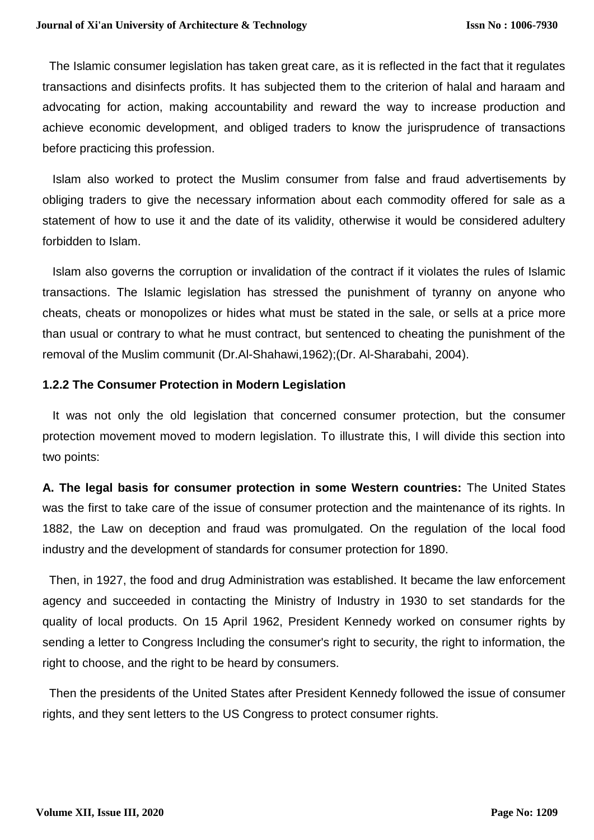The Islamic consumer legislation has taken great care, as it is reflected in the fact that it regulates transactions and disinfects profits. It has subjected them to the criterion of halal and haraam and advocating for action, making accountability and reward the way to increase production and achieve economic development, and obliged traders to know the jurisprudence of transactions before practicing this profession.

 Islam also worked to protect the Muslim consumer from false and fraud advertisements by obliging traders to give the necessary information about each commodity offered for sale as a statement of how to use it and the date of its validity, otherwise it would be considered adultery forbidden to Islam.

 Islam also governs the corruption or invalidation of the contract if it violates the rules of Islamic transactions. The Islamic legislation has stressed the punishment of tyranny on anyone who cheats, cheats or monopolizes or hides what must be stated in the sale, or sells at a price more than usual or contrary to what he must contract, but sentenced to cheating the punishment of the removal of the Muslim communit (Dr.Al-Shahawi,1962);(Dr. Al-Sharabahi, 2004).

# **1.2.2 The Consumer Protection in Modern Legislation**

 It was not only the old legislation that concerned consumer protection, but the consumer protection movement moved to modern legislation. To illustrate this, I will divide this section into two points:

**A. The legal basis for consumer protection in some Western countries:** The United States was the first to take care of the issue of consumer protection and the maintenance of its rights. In 1882, the Law on deception and fraud was promulgated. On the regulation of the local food industry and the development of standards for consumer protection for 1890.

 Then, in 1927, the food and drug Administration was established. It became the law enforcement agency and succeeded in contacting the Ministry of Industry in 1930 to set standards for the quality of local products. On 15 April 1962, President Kennedy worked on consumer rights by sending a letter to Congress Including the consumer's right to security, the right to information, the right to choose, and the right to be heard by consumers.

 Then the presidents of the United States after President Kennedy followed the issue of consumer rights, and they sent letters to the US Congress to protect consumer rights.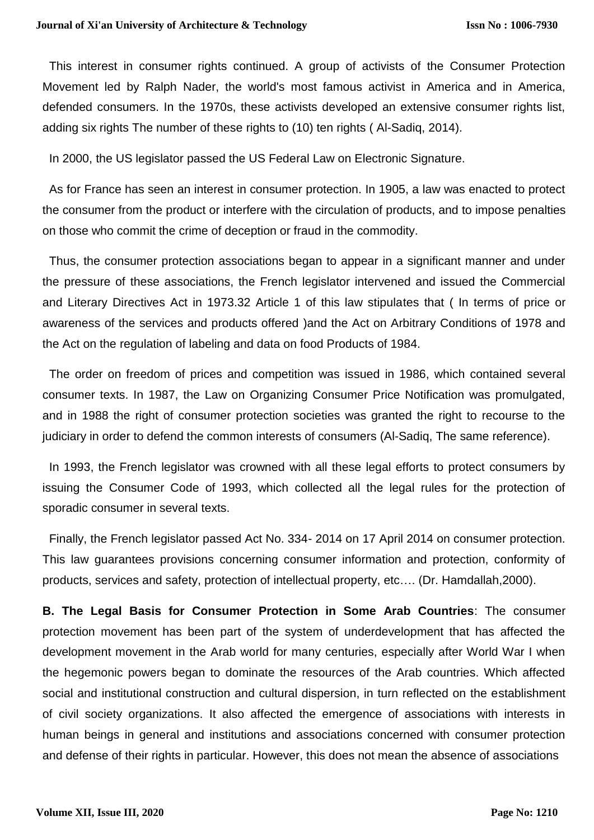This interest in consumer rights continued. A group of activists of the Consumer Protection Movement led by Ralph Nader, the world's most famous activist in America and in America, defended consumers. In the 1970s, these activists developed an extensive consumer rights list, adding six rights The number of these rights to (10) ten rights ( Al-Sadiq, 2014).

In 2000, the US legislator passed the US Federal Law on Electronic Signature.

 As for France has seen an interest in consumer protection. In 1905, a law was enacted to protect the consumer from the product or interfere with the circulation of products, and to impose penalties on those who commit the crime of deception or fraud in the commodity.

 Thus, the consumer protection associations began to appear in a significant manner and under the pressure of these associations, the French legislator intervened and issued the Commercial and Literary Directives Act in 1973.32 Article 1 of this law stipulates that ( In terms of price or awareness of the services and products offered )and the Act on Arbitrary Conditions of 1978 and the Act on the regulation of labeling and data on food Products of 1984.

 The order on freedom of prices and competition was issued in 1986, which contained several consumer texts. In 1987, the Law on Organizing Consumer Price Notification was promulgated, and in 1988 the right of consumer protection societies was granted the right to recourse to the judiciary in order to defend the common interests of consumers (Al-Sadiq, The same reference).

 In 1993, the French legislator was crowned with all these legal efforts to protect consumers by issuing the Consumer Code of 1993, which collected all the legal rules for the protection of sporadic consumer in several texts.

 Finally, the French legislator passed Act No. 334- 2014 on 17 April 2014 on consumer protection. This law guarantees provisions concerning consumer information and protection, conformity of products, services and safety, protection of intellectual property, etc…. (Dr. Hamdallah,2000).

**B. The Legal Basis for Consumer Protection in Some Arab Countries**: The consumer protection movement has been part of the system of underdevelopment that has affected the development movement in the Arab world for many centuries, especially after World War I when the hegemonic powers began to dominate the resources of the Arab countries. Which affected social and institutional construction and cultural dispersion, in turn reflected on the establishment of civil society organizations. It also affected the emergence of associations with interests in human beings in general and institutions and associations concerned with consumer protection and defense of their rights in particular. However, this does not mean the absence of associations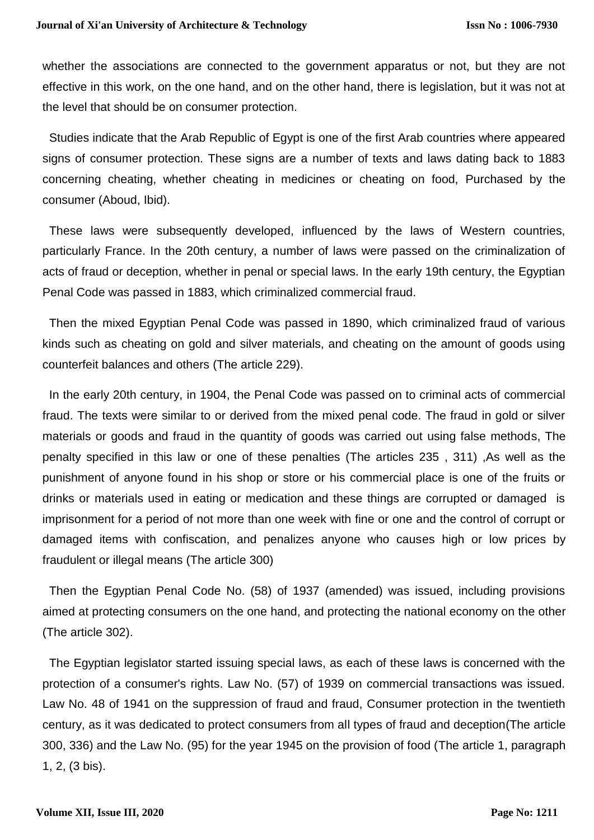whether the associations are connected to the government apparatus or not, but they are not effective in this work, on the one hand, and on the other hand, there is legislation, but it was not at the level that should be on consumer protection.

 Studies indicate that the Arab Republic of Egypt is one of the first Arab countries where appeared signs of consumer protection. These signs are a number of texts and laws dating back to 1883 concerning cheating, whether cheating in medicines or cheating on food, Purchased by the consumer (Aboud, Ibid).

 These laws were subsequently developed, influenced by the laws of Western countries, particularly France. In the 20th century, a number of laws were passed on the criminalization of acts of fraud or deception, whether in penal or special laws. In the early 19th century, the Egyptian Penal Code was passed in 1883, which criminalized commercial fraud.

 Then the mixed Egyptian Penal Code was passed in 1890, which criminalized fraud of various kinds such as cheating on gold and silver materials, and cheating on the amount of goods using counterfeit balances and others (The article 229).

 In the early 20th century, in 1904, the Penal Code was passed on to criminal acts of commercial fraud. The texts were similar to or derived from the mixed penal code. The fraud in gold or silver materials or goods and fraud in the quantity of goods was carried out using false methods, The penalty specified in this law or one of these penalties (The articles 235 , 311) ,As well as the punishment of anyone found in his shop or store or his commercial place is one of the fruits or drinks or materials used in eating or medication and these things are corrupted or damaged is imprisonment for a period of not more than one week with fine or one and the control of corrupt or damaged items with confiscation, and penalizes anyone who causes high or low prices by fraudulent or illegal means (The article 300)

 Then the Egyptian Penal Code No. (58) of 1937 (amended) was issued, including provisions aimed at protecting consumers on the one hand, and protecting the national economy on the other (The article 302).

 The Egyptian legislator started issuing special laws, as each of these laws is concerned with the protection of a consumer's rights. Law No. (57) of 1939 on commercial transactions was issued. Law No. 48 of 1941 on the suppression of fraud and fraud, Consumer protection in the twentieth century, as it was dedicated to protect consumers from all types of fraud and deception(The article 300, 336) and the Law No. (95) for the year 1945 on the provision of food (The article 1, paragraph 1, 2, (3 bis).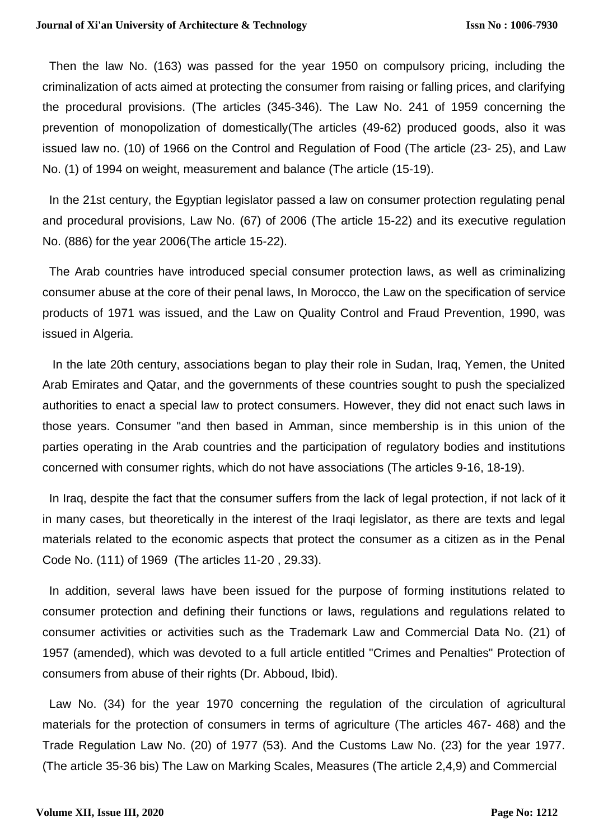Then the law No. (163) was passed for the year 1950 on compulsory pricing, including the criminalization of acts aimed at protecting the consumer from raising or falling prices, and clarifying the procedural provisions. (The articles (345-346). The Law No. 241 of 1959 concerning the prevention of monopolization of domestically(The articles (49-62) produced goods, also it was issued law no. (10) of 1966 on the Control and Regulation of Food (The article (23- 25), and Law No. (1) of 1994 on weight, measurement and balance (The article (15-19).

 In the 21st century, the Egyptian legislator passed a law on consumer protection regulating penal and procedural provisions, Law No. (67) of 2006 (The article 15-22) and its executive regulation No. (886) for the year 2006(The article 15-22).

 The Arab countries have introduced special consumer protection laws, as well as criminalizing consumer abuse at the core of their penal laws, In Morocco, the Law on the specification of service products of 1971 was issued, and the Law on Quality Control and Fraud Prevention, 1990, was issued in Algeria.

 In the late 20th century, associations began to play their role in Sudan, Iraq, Yemen, the United Arab Emirates and Qatar, and the governments of these countries sought to push the specialized authorities to enact a special law to protect consumers. However, they did not enact such laws in those years. Consumer "and then based in Amman, since membership is in this union of the parties operating in the Arab countries and the participation of regulatory bodies and institutions concerned with consumer rights, which do not have associations (The articles 9-16, 18-19).

 In Iraq, despite the fact that the consumer suffers from the lack of legal protection, if not lack of it in many cases, but theoretically in the interest of the Iraqi legislator, as there are texts and legal materials related to the economic aspects that protect the consumer as a citizen as in the Penal Code No. (111) of 1969 (The articles 11-20 , 29.33).

 In addition, several laws have been issued for the purpose of forming institutions related to consumer protection and defining their functions or laws, regulations and regulations related to consumer activities or activities such as the Trademark Law and Commercial Data No. (21) of 1957 (amended), which was devoted to a full article entitled "Crimes and Penalties" Protection of consumers from abuse of their rights (Dr. Abboud, Ibid).

 Law No. (34) for the year 1970 concerning the regulation of the circulation of agricultural materials for the protection of consumers in terms of agriculture (The articles 467- 468) and the Trade Regulation Law No. (20) of 1977 (53). And the Customs Law No. (23) for the year 1977. (The article 35-36 bis) The Law on Marking Scales, Measures (The article 2,4,9) and Commercial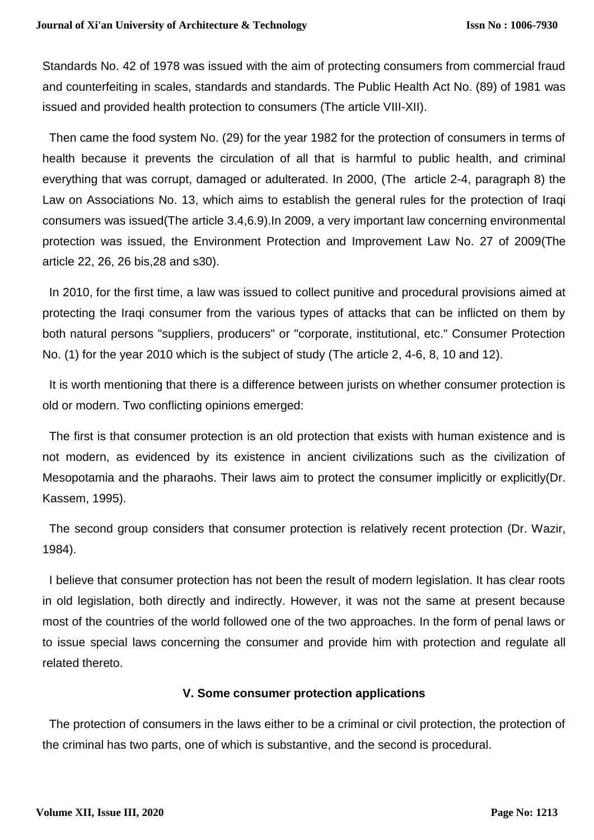Standards No. 42 of 1978 was issued with the aim of protecting consumers from commercial fraud and counterfeiting in scales, standards and standards. The Public Health Act No. (89) of 1981 was issued and provided health protection to consumers (The article VIII-XII).

 Then came the food system No. (29) for the year 1982 for the protection of consumers in terms of health because it prevents the circulation of all that is harmful to public health, and criminal everything that was corrupt, damaged or adulterated. In 2000, (The article 2-4, paragraph 8) the Law on Associations No. 13, which aims to establish the general rules for the protection of Iraqi consumers was issued(The article 3.4,6.9).In 2009, a very important law concerning environmental protection was issued, the Environment Protection and Improvement Law No. 27 of 2009(The article 22, 26, 26 bis,28 and s30).

 In 2010, for the first time, a law was issued to collect punitive and procedural provisions aimed at protecting the Iraqi consumer from the various types of attacks that can be inflicted on them by both natural persons "suppliers, producers" or "corporate, institutional, etc." Consumer Protection No. (1) for the year 2010 which is the subject of study (The article 2, 4-6, 8, 10 and 12).

 It is worth mentioning that there is a difference between jurists on whether consumer protection is old or modern. Two conflicting opinions emerged:

 The first is that consumer protection is an old protection that exists with human existence and is not modern, as evidenced by its existence in ancient civilizations such as the civilization of Mesopotamia and the pharaohs. Their laws aim to protect the consumer implicitly or explicitly(Dr. Kassem, 1995).

 The second group considers that consumer protection is relatively recent protection (Dr. Wazir, 1984).

 I believe that consumer protection has not been the result of modern legislation. It has clear roots in old legislation, both directly and indirectly. However, it was not the same at present because most of the countries of the world followed one of the two approaches. In the form of penal laws or to issue special laws concerning the consumer and provide him with protection and regulate all related thereto.

# **V. Some consumer protection applications**

 The protection of consumers in the laws either to be a criminal or civil protection, the protection of the criminal has two parts, one of which is substantive, and the second is procedural.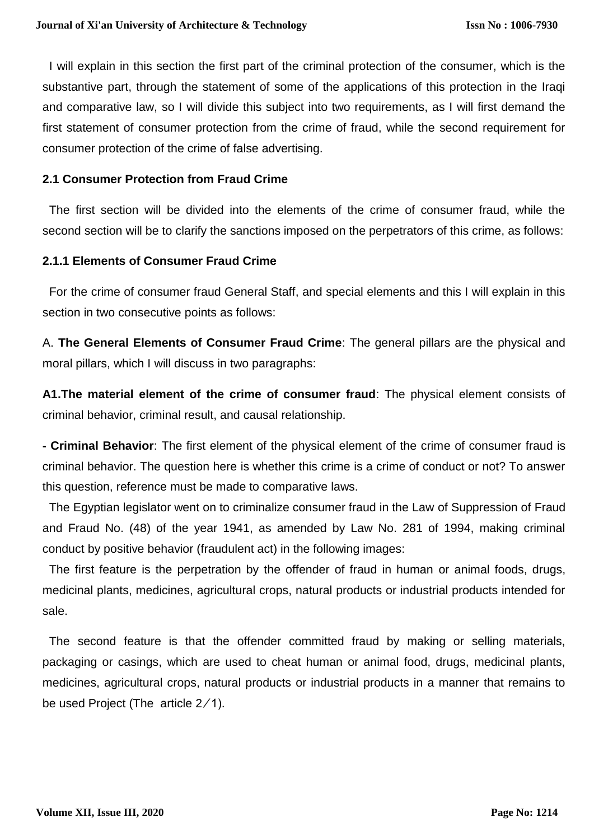I will explain in this section the first part of the criminal protection of the consumer, which is the substantive part, through the statement of some of the applications of this protection in the Iraqi and comparative law, so I will divide this subject into two requirements, as I will first demand the first statement of consumer protection from the crime of fraud, while the second requirement for consumer protection of the crime of false advertising.

## **2.1 Consumer Protection from Fraud Crime**

 The first section will be divided into the elements of the crime of consumer fraud, while the second section will be to clarify the sanctions imposed on the perpetrators of this crime, as follows:

# **2.1.1 Elements of Consumer Fraud Crime**

 For the crime of consumer fraud General Staff, and special elements and this I will explain in this section in two consecutive points as follows:

A. **The General Elements of Consumer Fraud Crime**: The general pillars are the physical and moral pillars, which I will discuss in two paragraphs:

**A1.The material element of the crime of consumer fraud**: The physical element consists of criminal behavior, criminal result, and causal relationship.

**- Criminal Behavior**: The first element of the physical element of the crime of consumer fraud is criminal behavior. The question here is whether this crime is a crime of conduct or not? To answer this question, reference must be made to comparative laws.

 The Egyptian legislator went on to criminalize consumer fraud in the Law of Suppression of Fraud and Fraud No. (48) of the year 1941, as amended by Law No. 281 of 1994, making criminal conduct by positive behavior (fraudulent act) in the following images:

 The first feature is the perpetration by the offender of fraud in human or animal foods, drugs, medicinal plants, medicines, agricultural crops, natural products or industrial products intended for sale.

 The second feature is that the offender committed fraud by making or selling materials, packaging or casings, which are used to cheat human or animal food, drugs, medicinal plants, medicines, agricultural crops, natural products or industrial products in a manner that remains to be used Project (The article  $2/1$ ).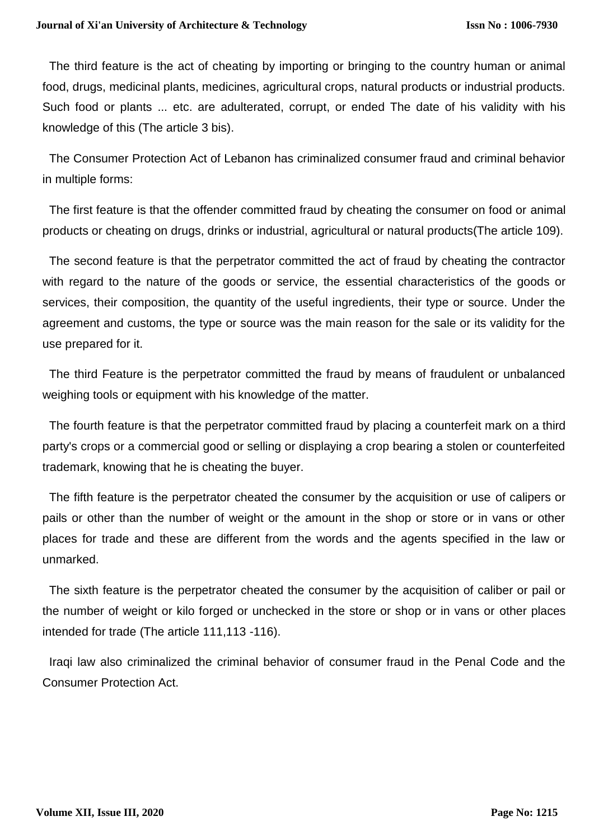The third feature is the act of cheating by importing or bringing to the country human or animal food, drugs, medicinal plants, medicines, agricultural crops, natural products or industrial products. Such food or plants ... etc. are adulterated, corrupt, or ended The date of his validity with his knowledge of this (The article 3 bis).

 The Consumer Protection Act of Lebanon has criminalized consumer fraud and criminal behavior in multiple forms:

 The first feature is that the offender committed fraud by cheating the consumer on food or animal products or cheating on drugs, drinks or industrial, agricultural or natural products(The article 109).

 The second feature is that the perpetrator committed the act of fraud by cheating the contractor with regard to the nature of the goods or service, the essential characteristics of the goods or services, their composition, the quantity of the useful ingredients, their type or source. Under the agreement and customs, the type or source was the main reason for the sale or its validity for the use prepared for it.

 The third Feature is the perpetrator committed the fraud by means of fraudulent or unbalanced weighing tools or equipment with his knowledge of the matter.

 The fourth feature is that the perpetrator committed fraud by placing a counterfeit mark on a third party's crops or a commercial good or selling or displaying a crop bearing a stolen or counterfeited trademark, knowing that he is cheating the buyer.

 The fifth feature is the perpetrator cheated the consumer by the acquisition or use of calipers or pails or other than the number of weight or the amount in the shop or store or in vans or other places for trade and these are different from the words and the agents specified in the law or unmarked.

 The sixth feature is the perpetrator cheated the consumer by the acquisition of caliber or pail or the number of weight or kilo forged or unchecked in the store or shop or in vans or other places intended for trade (The article 111,113 -116).

 Iraqi law also criminalized the criminal behavior of consumer fraud in the Penal Code and the Consumer Protection Act.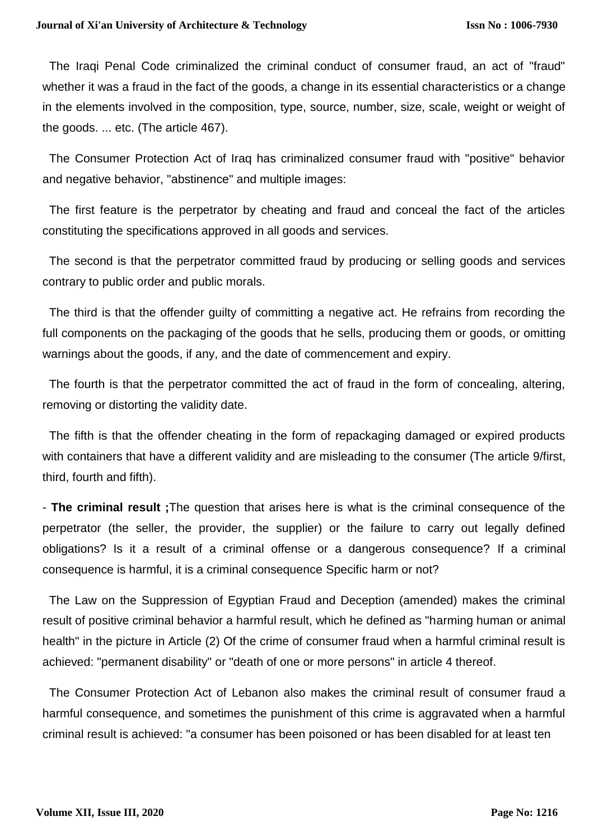The Iraqi Penal Code criminalized the criminal conduct of consumer fraud, an act of "fraud" whether it was a fraud in the fact of the goods, a change in its essential characteristics or a change in the elements involved in the composition, type, source, number, size, scale, weight or weight of the goods. ... etc. (The article 467).

 The Consumer Protection Act of Iraq has criminalized consumer fraud with "positive" behavior and negative behavior, "abstinence" and multiple images:

 The first feature is the perpetrator by cheating and fraud and conceal the fact of the articles constituting the specifications approved in all goods and services.

 The second is that the perpetrator committed fraud by producing or selling goods and services contrary to public order and public morals.

 The third is that the offender guilty of committing a negative act. He refrains from recording the full components on the packaging of the goods that he sells, producing them or goods, or omitting warnings about the goods, if any, and the date of commencement and expiry.

 The fourth is that the perpetrator committed the act of fraud in the form of concealing, altering, removing or distorting the validity date.

 The fifth is that the offender cheating in the form of repackaging damaged or expired products with containers that have a different validity and are misleading to the consumer (The article 9/first, third, fourth and fifth).

- **The criminal result ;**The question that arises here is what is the criminal consequence of the perpetrator (the seller, the provider, the supplier) or the failure to carry out legally defined obligations? Is it a result of a criminal offense or a dangerous consequence? If a criminal consequence is harmful, it is a criminal consequence Specific harm or not?

 The Law on the Suppression of Egyptian Fraud and Deception (amended) makes the criminal result of positive criminal behavior a harmful result, which he defined as "harming human or animal health" in the picture in Article (2) Of the crime of consumer fraud when a harmful criminal result is achieved: "permanent disability" or "death of one or more persons" in article 4 thereof.

 The Consumer Protection Act of Lebanon also makes the criminal result of consumer fraud a harmful consequence, and sometimes the punishment of this crime is aggravated when a harmful criminal result is achieved: "a consumer has been poisoned or has been disabled for at least ten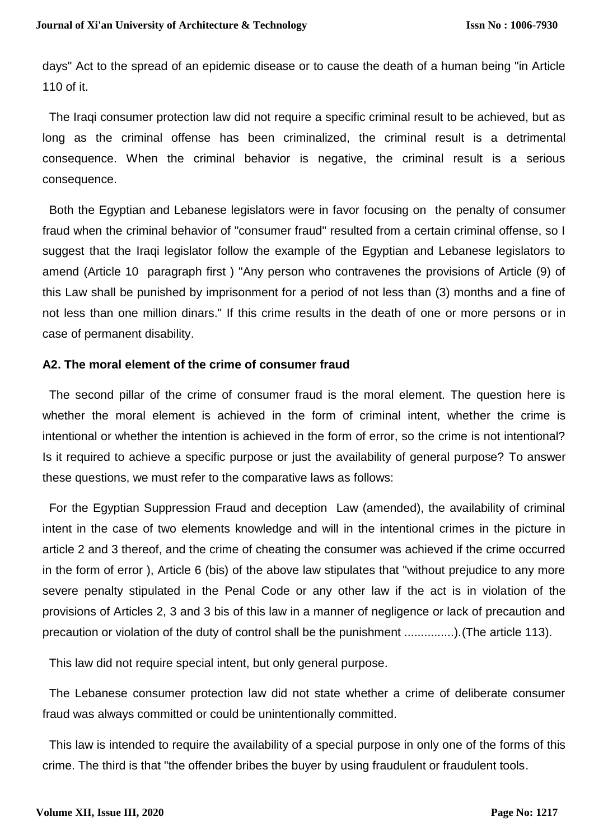days" Act to the spread of an epidemic disease or to cause the death of a human being "in Article 110 of it.

 The Iraqi consumer protection law did not require a specific criminal result to be achieved, but as long as the criminal offense has been criminalized, the criminal result is a detrimental consequence. When the criminal behavior is negative, the criminal result is a serious consequence.

 Both the Egyptian and Lebanese legislators were in favor focusing on the penalty of consumer fraud when the criminal behavior of "consumer fraud" resulted from a certain criminal offense, so I suggest that the Iraqi legislator follow the example of the Egyptian and Lebanese legislators to amend (Article 10 paragraph first ) "Any person who contravenes the provisions of Article (9) of this Law shall be punished by imprisonment for a period of not less than (3) months and a fine of not less than one million dinars." If this crime results in the death of one or more persons or in case of permanent disability.

#### **A2. The moral element of the crime of consumer fraud**

 The second pillar of the crime of consumer fraud is the moral element. The question here is whether the moral element is achieved in the form of criminal intent, whether the crime is intentional or whether the intention is achieved in the form of error, so the crime is not intentional? Is it required to achieve a specific purpose or just the availability of general purpose? To answer these questions, we must refer to the comparative laws as follows:

 For the Egyptian Suppression Fraud and deception Law (amended), the availability of criminal intent in the case of two elements knowledge and will in the intentional crimes in the picture in article 2 and 3 thereof, and the crime of cheating the consumer was achieved if the crime occurred in the form of error ), Article 6 (bis) of the above law stipulates that "without prejudice to any more severe penalty stipulated in the Penal Code or any other law if the act is in violation of the provisions of Articles 2, 3 and 3 bis of this law in a manner of negligence or lack of precaution and precaution or violation of the duty of control shall be the punishment ...............).(The article 113).

This law did not require special intent, but only general purpose.

 The Lebanese consumer protection law did not state whether a crime of deliberate consumer fraud was always committed or could be unintentionally committed.

 This law is intended to require the availability of a special purpose in only one of the forms of this crime. The third is that "the offender bribes the buyer by using fraudulent or fraudulent tools.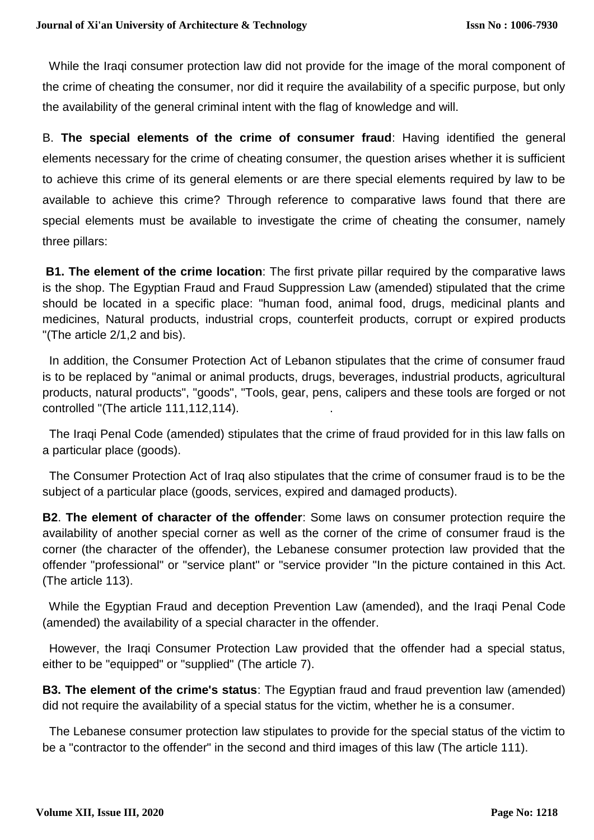While the Iraqi consumer protection law did not provide for the image of the moral component of the crime of cheating the consumer, nor did it require the availability of a specific purpose, but only the availability of the general criminal intent with the flag of knowledge and will.

B. **The special elements of the crime of consumer fraud**: Having identified the general elements necessary for the crime of cheating consumer, the question arises whether it is sufficient to achieve this crime of its general elements or are there special elements required by law to be available to achieve this crime? Through reference to comparative laws found that there are special elements must be available to investigate the crime of cheating the consumer, namely three pillars:

**B1. The element of the crime location**: The first private pillar required by the comparative laws is the shop. The Egyptian Fraud and Fraud Suppression Law (amended) stipulated that the crime should be located in a specific place: "human food, animal food, drugs, medicinal plants and medicines, Natural products, industrial crops, counterfeit products, corrupt or expired products "(The article 2/1,2 and bis).

 In addition, the Consumer Protection Act of Lebanon stipulates that the crime of consumer fraud is to be replaced by "animal or animal products, drugs, beverages, industrial products, agricultural products, natural products", "goods", "Tools, gear, pens, calipers and these tools are forged or not controlled "(The article 111, 112, 114).

 The Iraqi Penal Code (amended) stipulates that the crime of fraud provided for in this law falls on a particular place (goods).

 The Consumer Protection Act of Iraq also stipulates that the crime of consumer fraud is to be the subject of a particular place (goods, services, expired and damaged products).

**B2**. **The element of character of the offender**: Some laws on consumer protection require the availability of another special corner as well as the corner of the crime of consumer fraud is the corner (the character of the offender), the Lebanese consumer protection law provided that the offender "professional" or "service plant" or "service provider "In the picture contained in this Act. (The article 113).

 While the Egyptian Fraud and deception Prevention Law (amended), and the Iraqi Penal Code (amended) the availability of a special character in the offender.

 However, the Iraqi Consumer Protection Law provided that the offender had a special status, either to be "equipped" or "supplied" (The article 7).

**B3. The element of the crime's status**: The Egyptian fraud and fraud prevention law (amended) did not require the availability of a special status for the victim, whether he is a consumer.

 The Lebanese consumer protection law stipulates to provide for the special status of the victim to be a "contractor to the offender" in the second and third images of this law (The article 111).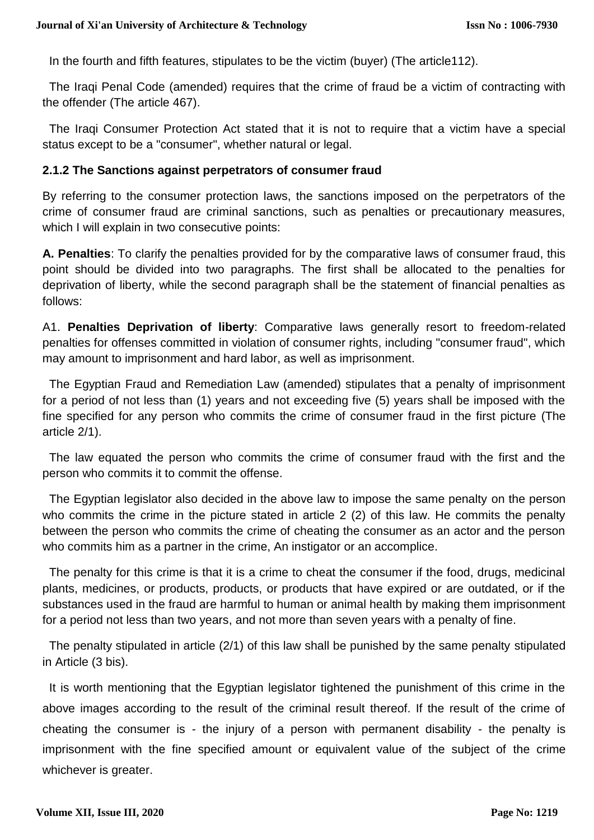In the fourth and fifth features, stipulates to be the victim (buyer) (The article112).

 The Iraqi Penal Code (amended) requires that the crime of fraud be a victim of contracting with the offender (The article 467).

 The Iraqi Consumer Protection Act stated that it is not to require that a victim have a special status except to be a "consumer", whether natural or legal.

## **2.1.2 The Sanctions against perpetrators of consumer fraud**

By referring to the consumer protection laws, the sanctions imposed on the perpetrators of the crime of consumer fraud are criminal sanctions, such as penalties or precautionary measures, which I will explain in two consecutive points:

**A. Penalties**: To clarify the penalties provided for by the comparative laws of consumer fraud, this point should be divided into two paragraphs. The first shall be allocated to the penalties for deprivation of liberty, while the second paragraph shall be the statement of financial penalties as follows:

A1. **Penalties Deprivation of liberty**: Comparative laws generally resort to freedom-related penalties for offenses committed in violation of consumer rights, including "consumer fraud", which may amount to imprisonment and hard labor, as well as imprisonment.

 The Egyptian Fraud and Remediation Law (amended) stipulates that a penalty of imprisonment for a period of not less than (1) years and not exceeding five (5) years shall be imposed with the fine specified for any person who commits the crime of consumer fraud in the first picture (The article 2/1).

 The law equated the person who commits the crime of consumer fraud with the first and the person who commits it to commit the offense.

 The Egyptian legislator also decided in the above law to impose the same penalty on the person who commits the crime in the picture stated in article 2 (2) of this law. He commits the penalty between the person who commits the crime of cheating the consumer as an actor and the person who commits him as a partner in the crime, An instigator or an accomplice.

 The penalty for this crime is that it is a crime to cheat the consumer if the food, drugs, medicinal plants, medicines, or products, products, or products that have expired or are outdated, or if the substances used in the fraud are harmful to human or animal health by making them imprisonment for a period not less than two years, and not more than seven years with a penalty of fine.

 The penalty stipulated in article (2/1) of this law shall be punished by the same penalty stipulated in Article (3 bis).

 It is worth mentioning that the Egyptian legislator tightened the punishment of this crime in the above images according to the result of the criminal result thereof. If the result of the crime of cheating the consumer is - the injury of a person with permanent disability - the penalty is imprisonment with the fine specified amount or equivalent value of the subject of the crime whichever is greater.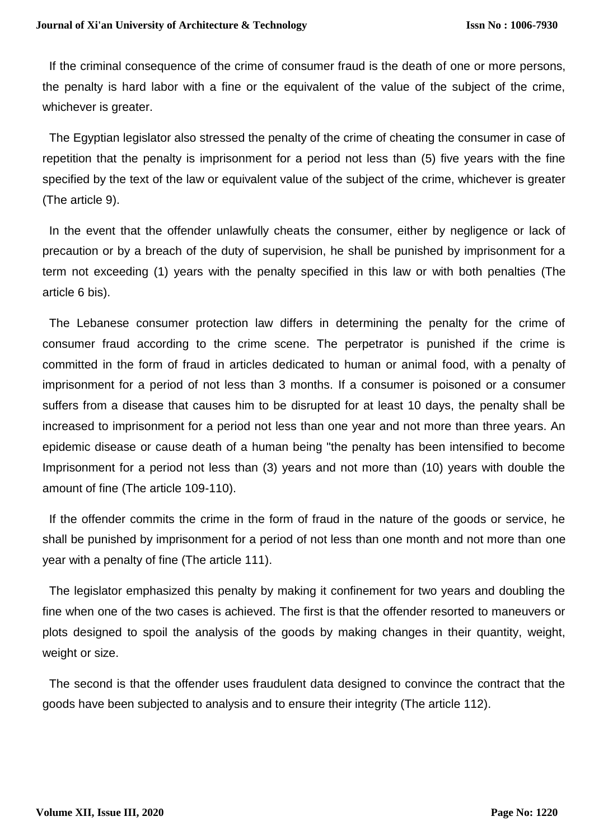If the criminal consequence of the crime of consumer fraud is the death of one or more persons, the penalty is hard labor with a fine or the equivalent of the value of the subject of the crime, whichever is greater.

 The Egyptian legislator also stressed the penalty of the crime of cheating the consumer in case of repetition that the penalty is imprisonment for a period not less than (5) five years with the fine specified by the text of the law or equivalent value of the subject of the crime, whichever is greater (The article 9).

 In the event that the offender unlawfully cheats the consumer, either by negligence or lack of precaution or by a breach of the duty of supervision, he shall be punished by imprisonment for a term not exceeding (1) years with the penalty specified in this law or with both penalties (The article 6 bis).

 The Lebanese consumer protection law differs in determining the penalty for the crime of consumer fraud according to the crime scene. The perpetrator is punished if the crime is committed in the form of fraud in articles dedicated to human or animal food, with a penalty of imprisonment for a period of not less than 3 months. If a consumer is poisoned or a consumer suffers from a disease that causes him to be disrupted for at least 10 days, the penalty shall be increased to imprisonment for a period not less than one year and not more than three years. An epidemic disease or cause death of a human being "the penalty has been intensified to become Imprisonment for a period not less than (3) years and not more than (10) years with double the amount of fine (The article 109-110).

 If the offender commits the crime in the form of fraud in the nature of the goods or service, he shall be punished by imprisonment for a period of not less than one month and not more than one year with a penalty of fine (The article 111).

 The legislator emphasized this penalty by making it confinement for two years and doubling the fine when one of the two cases is achieved. The first is that the offender resorted to maneuvers or plots designed to spoil the analysis of the goods by making changes in their quantity, weight, weight or size.

 The second is that the offender uses fraudulent data designed to convince the contract that the goods have been subjected to analysis and to ensure their integrity (The article 112).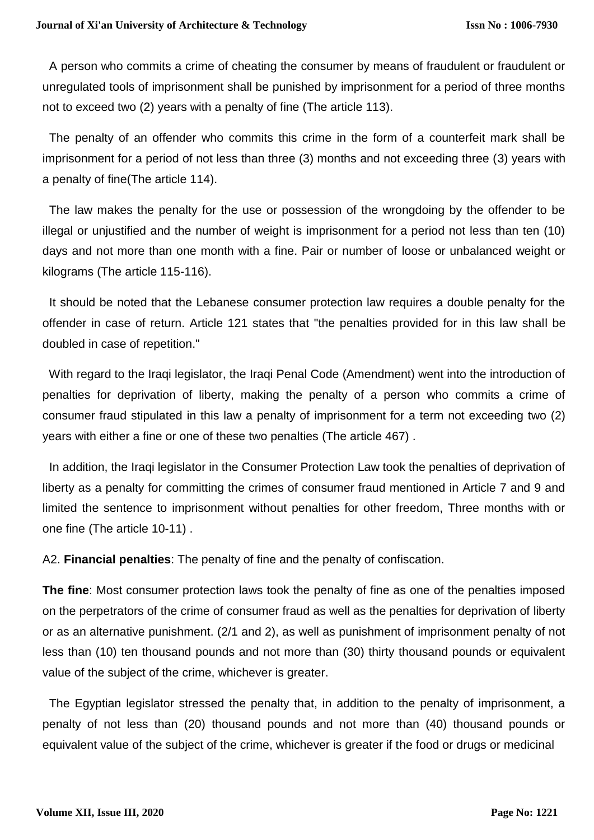A person who commits a crime of cheating the consumer by means of fraudulent or fraudulent or unregulated tools of imprisonment shall be punished by imprisonment for a period of three months not to exceed two (2) years with a penalty of fine (The article 113).

The penalty of an offender who commits this crime in the form of a counterfeit mark shall be imprisonment for a period of not less than three (3) months and not exceeding three (3) years with a penalty of fine(The article 114).

 The law makes the penalty for the use or possession of the wrongdoing by the offender to be illegal or unjustified and the number of weight is imprisonment for a period not less than ten (10) days and not more than one month with a fine. Pair or number of loose or unbalanced weight or kilograms (The article 115-116).

 It should be noted that the Lebanese consumer protection law requires a double penalty for the offender in case of return. Article 121 states that "the penalties provided for in this law shall be doubled in case of repetition."

 With regard to the Iraqi legislator, the Iraqi Penal Code (Amendment) went into the introduction of penalties for deprivation of liberty, making the penalty of a person who commits a crime of consumer fraud stipulated in this law a penalty of imprisonment for a term not exceeding two (2) years with either a fine or one of these two penalties (The article 467) .

 In addition, the Iraqi legislator in the Consumer Protection Law took the penalties of deprivation of liberty as a penalty for committing the crimes of consumer fraud mentioned in Article 7 and 9 and limited the sentence to imprisonment without penalties for other freedom, Three months with or one fine (The article 10-11) .

A2. **Financial penalties**: The penalty of fine and the penalty of confiscation.

**The fine**: Most consumer protection laws took the penalty of fine as one of the penalties imposed on the perpetrators of the crime of consumer fraud as well as the penalties for deprivation of liberty or as an alternative punishment. (2/1 and 2), as well as punishment of imprisonment penalty of not less than (10) ten thousand pounds and not more than (30) thirty thousand pounds or equivalent value of the subject of the crime, whichever is greater.

 The Egyptian legislator stressed the penalty that, in addition to the penalty of imprisonment, a penalty of not less than (20) thousand pounds and not more than (40) thousand pounds or equivalent value of the subject of the crime, whichever is greater if the food or drugs or medicinal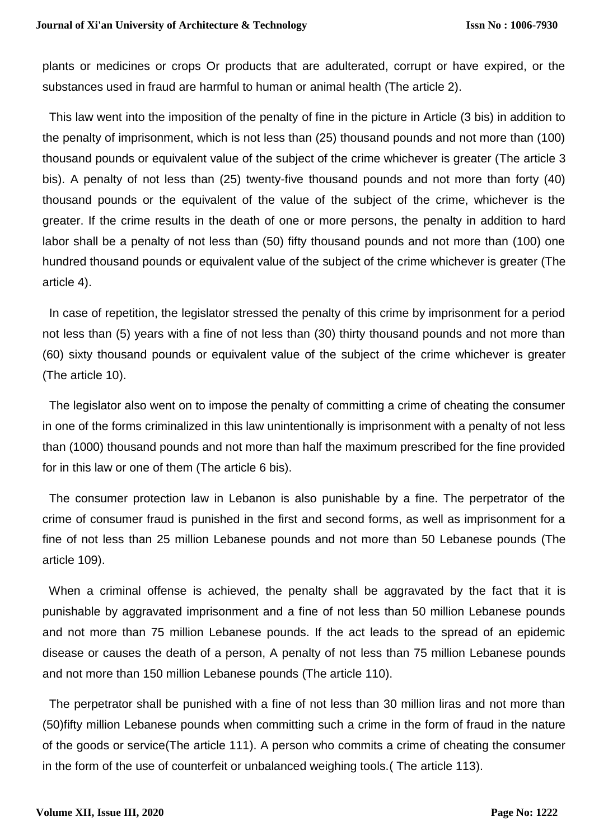plants or medicines or crops Or products that are adulterated, corrupt or have expired, or the substances used in fraud are harmful to human or animal health (The article 2).

 This law went into the imposition of the penalty of fine in the picture in Article (3 bis) in addition to the penalty of imprisonment, which is not less than (25) thousand pounds and not more than (100) thousand pounds or equivalent value of the subject of the crime whichever is greater (The article 3 bis). A penalty of not less than (25) twenty-five thousand pounds and not more than forty (40) thousand pounds or the equivalent of the value of the subject of the crime, whichever is the greater. If the crime results in the death of one or more persons, the penalty in addition to hard labor shall be a penalty of not less than (50) fifty thousand pounds and not more than (100) one hundred thousand pounds or equivalent value of the subject of the crime whichever is greater (The article 4).

 In case of repetition, the legislator stressed the penalty of this crime by imprisonment for a period not less than (5) years with a fine of not less than (30) thirty thousand pounds and not more than (60) sixty thousand pounds or equivalent value of the subject of the crime whichever is greater (The article 10).

 The legislator also went on to impose the penalty of committing a crime of cheating the consumer in one of the forms criminalized in this law unintentionally is imprisonment with a penalty of not less than (1000) thousand pounds and not more than half the maximum prescribed for the fine provided for in this law or one of them (The article 6 bis).

 The consumer protection law in Lebanon is also punishable by a fine. The perpetrator of the crime of consumer fraud is punished in the first and second forms, as well as imprisonment for a fine of not less than 25 million Lebanese pounds and not more than 50 Lebanese pounds (The article 109).

 When a criminal offense is achieved, the penalty shall be aggravated by the fact that it is punishable by aggravated imprisonment and a fine of not less than 50 million Lebanese pounds and not more than 75 million Lebanese pounds. If the act leads to the spread of an epidemic disease or causes the death of a person, A penalty of not less than 75 million Lebanese pounds and not more than 150 million Lebanese pounds (The article 110).

 The perpetrator shall be punished with a fine of not less than 30 million liras and not more than (50)fifty million Lebanese pounds when committing such a crime in the form of fraud in the nature of the goods or service(The article 111). A person who commits a crime of cheating the consumer in the form of the use of counterfeit or unbalanced weighing tools.( The article 113).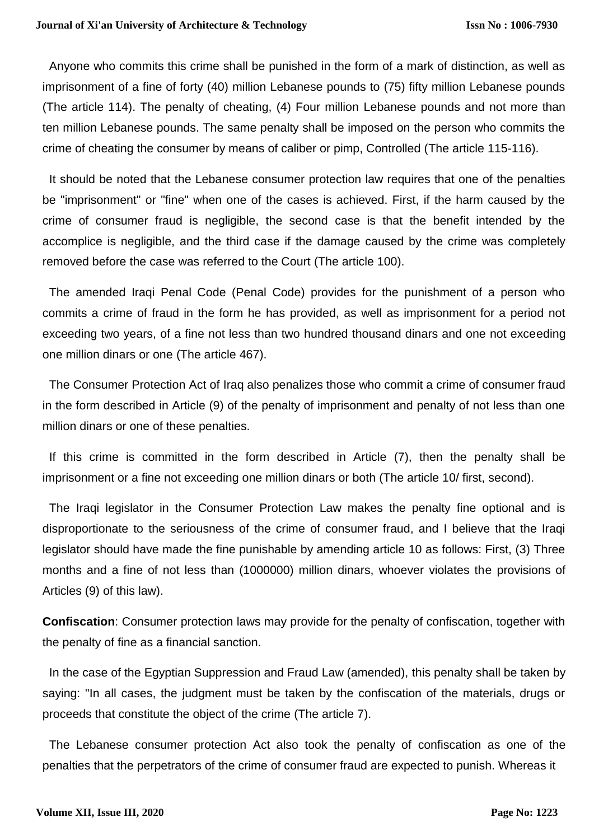Anyone who commits this crime shall be punished in the form of a mark of distinction, as well as imprisonment of a fine of forty (40) million Lebanese pounds to (75) fifty million Lebanese pounds (The article 114). The penalty of cheating, (4) Four million Lebanese pounds and not more than ten million Lebanese pounds. The same penalty shall be imposed on the person who commits the crime of cheating the consumer by means of caliber or pimp, Controlled (The article 115-116).

 It should be noted that the Lebanese consumer protection law requires that one of the penalties be "imprisonment" or "fine" when one of the cases is achieved. First, if the harm caused by the crime of consumer fraud is negligible, the second case is that the benefit intended by the accomplice is negligible, and the third case if the damage caused by the crime was completely removed before the case was referred to the Court (The article 100).

 The amended Iraqi Penal Code (Penal Code) provides for the punishment of a person who commits a crime of fraud in the form he has provided, as well as imprisonment for a period not exceeding two years, of a fine not less than two hundred thousand dinars and one not exceeding one million dinars or one (The article 467).

 The Consumer Protection Act of Iraq also penalizes those who commit a crime of consumer fraud in the form described in Article (9) of the penalty of imprisonment and penalty of not less than one million dinars or one of these penalties.

 If this crime is committed in the form described in Article (7), then the penalty shall be imprisonment or a fine not exceeding one million dinars or both (The article 10/ first, second).

 The Iraqi legislator in the Consumer Protection Law makes the penalty fine optional and is disproportionate to the seriousness of the crime of consumer fraud, and I believe that the Iraqi legislator should have made the fine punishable by amending article 10 as follows: First, (3) Three months and a fine of not less than (1000000) million dinars, whoever violates the provisions of Articles (9) of this law).

**Confiscation**: Consumer protection laws may provide for the penalty of confiscation, together with the penalty of fine as a financial sanction.

 In the case of the Egyptian Suppression and Fraud Law (amended), this penalty shall be taken by saying: "In all cases, the judgment must be taken by the confiscation of the materials, drugs or proceeds that constitute the object of the crime (The article 7).

 The Lebanese consumer protection Act also took the penalty of confiscation as one of the penalties that the perpetrators of the crime of consumer fraud are expected to punish. Whereas it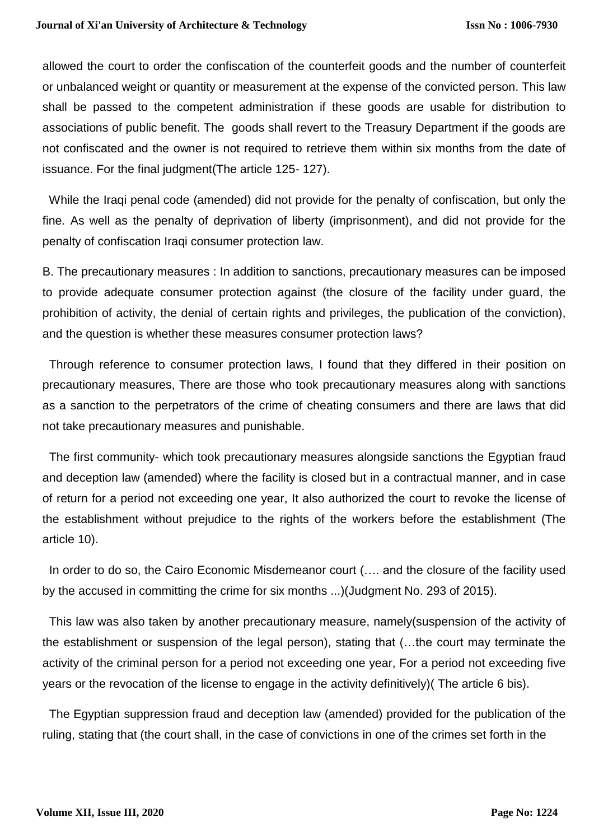allowed the court to order the confiscation of the counterfeit goods and the number of counterfeit or unbalanced weight or quantity or measurement at the expense of the convicted person. This law shall be passed to the competent administration if these goods are usable for distribution to associations of public benefit. The goods shall revert to the Treasury Department if the goods are not confiscated and the owner is not required to retrieve them within six months from the date of issuance. For the final judgment(The article 125- 127).

 While the Iraqi penal code (amended) did not provide for the penalty of confiscation, but only the fine. As well as the penalty of deprivation of liberty (imprisonment), and did not provide for the penalty of confiscation Iraqi consumer protection law.

B. The precautionary measures : In addition to sanctions, precautionary measures can be imposed to provide adequate consumer protection against (the closure of the facility under guard, the prohibition of activity, the denial of certain rights and privileges, the publication of the conviction), and the question is whether these measures consumer protection laws?

 Through reference to consumer protection laws, I found that they differed in their position on precautionary measures, There are those who took precautionary measures along with sanctions as a sanction to the perpetrators of the crime of cheating consumers and there are laws that did not take precautionary measures and punishable.

 The first community- which took precautionary measures alongside sanctions the Egyptian fraud and deception law (amended) where the facility is closed but in a contractual manner, and in case of return for a period not exceeding one year, It also authorized the court to revoke the license of the establishment without prejudice to the rights of the workers before the establishment (The article 10).

 In order to do so, the Cairo Economic Misdemeanor court (…. and the closure of the facility used by the accused in committing the crime for six months ...)(Judgment No. 293 of 2015).

 This law was also taken by another precautionary measure, namely(suspension of the activity of the establishment or suspension of the legal person), stating that (…the court may terminate the activity of the criminal person for a period not exceeding one year, For a period not exceeding five years or the revocation of the license to engage in the activity definitively)( The article 6 bis).

 The Egyptian suppression fraud and deception law (amended) provided for the publication of the ruling, stating that (the court shall, in the case of convictions in one of the crimes set forth in the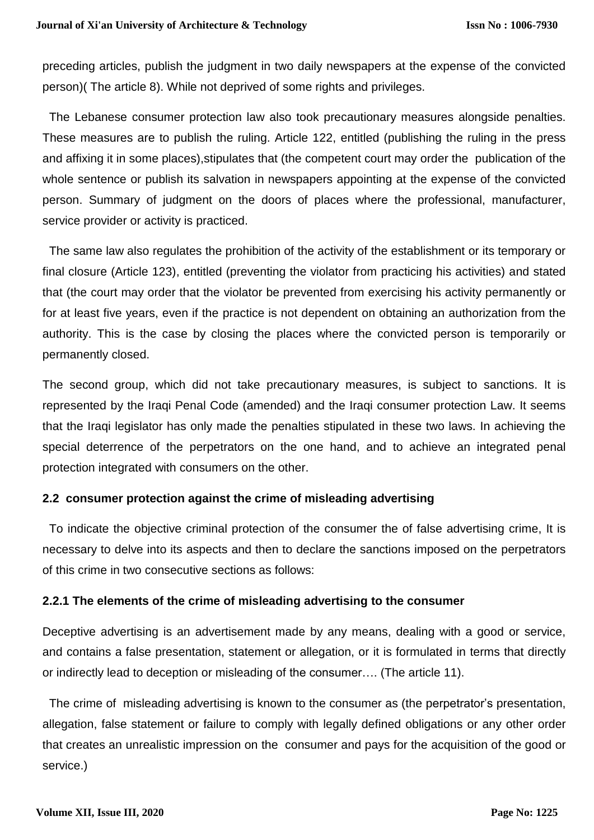preceding articles, publish the judgment in two daily newspapers at the expense of the convicted person)( The article 8). While not deprived of some rights and privileges.

 The Lebanese consumer protection law also took precautionary measures alongside penalties. These measures are to publish the ruling. Article 122, entitled (publishing the ruling in the press and affixing it in some places), stipulates that (the competent court may order the publication of the whole sentence or publish its salvation in newspapers appointing at the expense of the convicted person. Summary of judgment on the doors of places where the professional, manufacturer, service provider or activity is practiced.

 The same law also regulates the prohibition of the activity of the establishment or its temporary or final closure (Article 123), entitled (preventing the violator from practicing his activities) and stated that (the court may order that the violator be prevented from exercising his activity permanently or for at least five years, even if the practice is not dependent on obtaining an authorization from the authority. This is the case by closing the places where the convicted person is temporarily or permanently closed.

The second group, which did not take precautionary measures, is subject to sanctions. It is represented by the Iraqi Penal Code (amended) and the Iraqi consumer protection Law. It seems that the Iraqi legislator has only made the penalties stipulated in these two laws. In achieving the special deterrence of the perpetrators on the one hand, and to achieve an integrated penal protection integrated with consumers on the other.

# **2.2 consumer protection against the crime of misleading advertising**

 To indicate the objective criminal protection of the consumer the of false advertising crime, It is necessary to delve into its aspects and then to declare the sanctions imposed on the perpetrators of this crime in two consecutive sections as follows:

# **2.2.1 The elements of the crime of misleading advertising to the consumer**

Deceptive advertising is an advertisement made by any means, dealing with a good or service, and contains a false presentation, statement or allegation, or it is formulated in terms that directly or indirectly lead to deception or misleading of the consumer…. (The article 11).

 The crime of misleading advertising is known to the consumer as (the perpetrator's presentation, allegation, false statement or failure to comply with legally defined obligations or any other order that creates an unrealistic impression on the consumer and pays for the acquisition of the good or service.)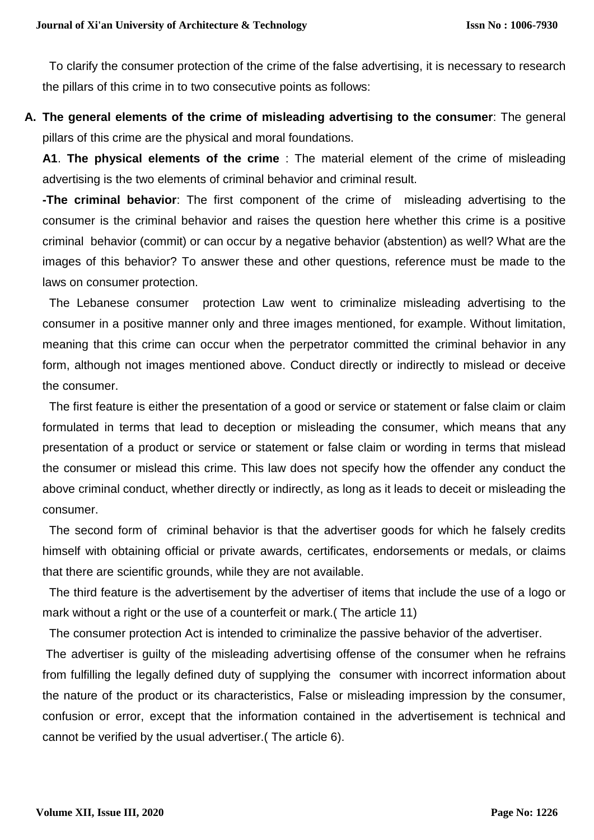To clarify the consumer protection of the crime of the false advertising, it is necessary to research the pillars of this crime in to two consecutive points as follows:

**A. The general elements of the crime of misleading advertising to the consumer**: The general pillars of this crime are the physical and moral foundations.

**A1**. **The physical elements of the crime** : The material element of the crime of misleading advertising is the two elements of criminal behavior and criminal result.

**-The criminal behavior**: The first component of the crime of misleading advertising to the consumer is the criminal behavior and raises the question here whether this crime is a positive criminal behavior (commit) or can occur by a negative behavior (abstention) as well? What are the images of this behavior? To answer these and other questions, reference must be made to the laws on consumer protection.

The Lebanese consumer protection Law went to criminalize misleading advertising to the consumer in a positive manner only and three images mentioned, for example. Without limitation, meaning that this crime can occur when the perpetrator committed the criminal behavior in any form, although not images mentioned above. Conduct directly or indirectly to mislead or deceive the consumer.

 The first feature is either the presentation of a good or service or statement or false claim or claim formulated in terms that lead to deception or misleading the consumer, which means that any presentation of a product or service or statement or false claim or wording in terms that mislead the consumer or mislead this crime. This law does not specify how the offender any conduct the above criminal conduct, whether directly or indirectly, as long as it leads to deceit or misleading the consumer.

 The second form of criminal behavior is that the advertiser goods for which he falsely credits himself with obtaining official or private awards, certificates, endorsements or medals, or claims that there are scientific grounds, while they are not available.

 The third feature is the advertisement by the advertiser of items that include the use of a logo or mark without a right or the use of a counterfeit or mark.( The article 11)

The consumer protection Act is intended to criminalize the passive behavior of the advertiser.

The advertiser is guilty of the misleading advertising offense of the consumer when he refrains from fulfilling the legally defined duty of supplying the consumer with incorrect information about the nature of the product or its characteristics, False or misleading impression by the consumer, confusion or error, except that the information contained in the advertisement is technical and cannot be verified by the usual advertiser.( The article 6).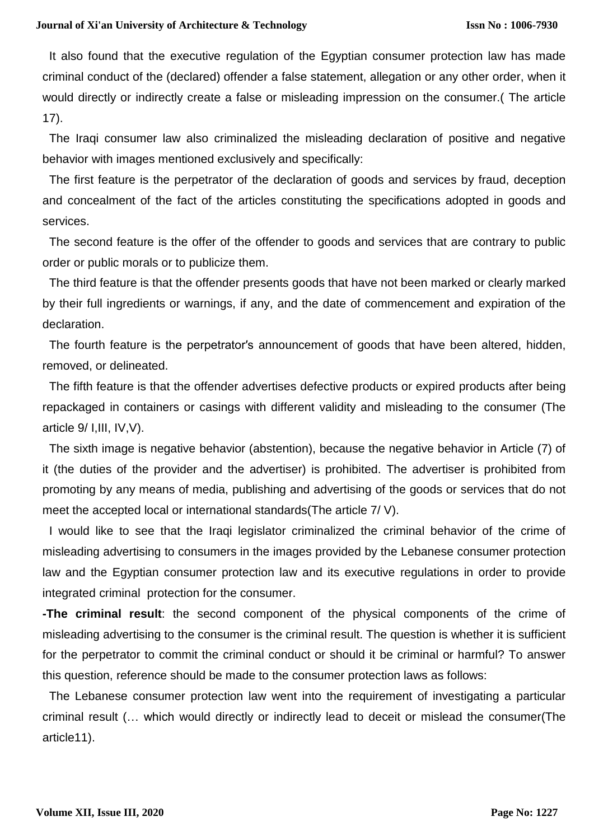#### **Journal of Xi'an University of Architecture & Technology**

 It also found that the executive regulation of the Egyptian consumer protection law has made criminal conduct of the (declared) offender a false statement, allegation or any other order, when it would directly or indirectly create a false or misleading impression on the consumer.( The article 17).

 The Iraqi consumer law also criminalized the misleading declaration of positive and negative behavior with images mentioned exclusively and specifically:

 The first feature is the perpetrator of the declaration of goods and services by fraud, deception and concealment of the fact of the articles constituting the specifications adopted in goods and services.

 The second feature is the offer of the offender to goods and services that are contrary to public order or public morals or to publicize them.

 The third feature is that the offender presents goods that have not been marked or clearly marked by their full ingredients or warnings, if any, and the date of commencement and expiration of the declaration.

 The fourth feature is the perpetrator′s announcement of goods that have been altered, hidden, removed, or delineated.

 The fifth feature is that the offender advertises defective products or expired products after being repackaged in containers or casings with different validity and misleading to the consumer (The article 9/ I,III, IV,V).

 The sixth image is negative behavior (abstention), because the negative behavior in Article (7) of it (the duties of the provider and the advertiser) is prohibited. The advertiser is prohibited from promoting by any means of media, publishing and advertising of the goods or services that do not meet the accepted local or international standards(The article 7/ V).

 I would like to see that the Iraqi legislator criminalized the criminal behavior of the crime of misleading advertising to consumers in the images provided by the Lebanese consumer protection law and the Egyptian consumer protection law and its executive regulations in order to provide integrated criminal protection for the consumer.

**-The criminal result**: the second component of the physical components of the crime of misleading advertising to the consumer is the criminal result. The question is whether it is sufficient for the perpetrator to commit the criminal conduct or should it be criminal or harmful? To answer this question, reference should be made to the consumer protection laws as follows:

The Lebanese consumer protection law went into the requirement of investigating a particular criminal result (… which would directly or indirectly lead to deceit or mislead the consumer(The article11).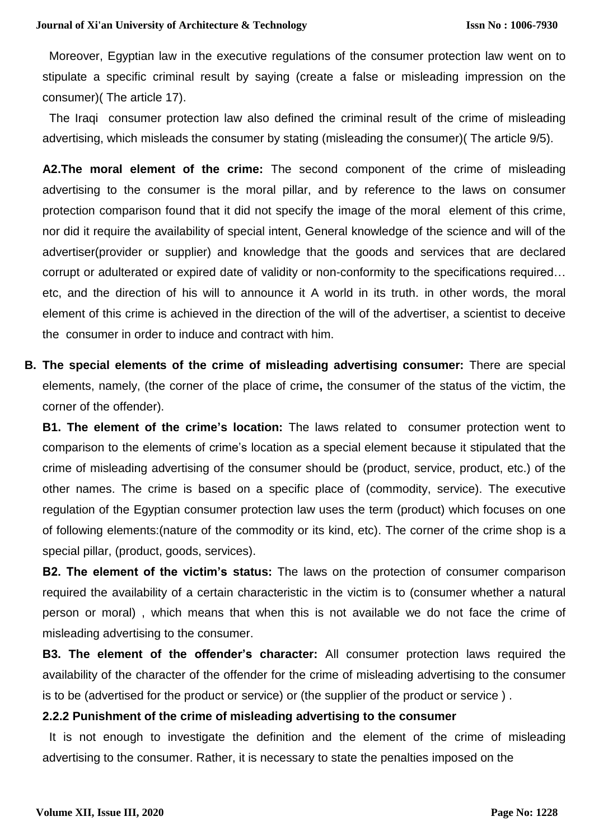Moreover, Egyptian law in the executive regulations of the consumer protection law went on to stipulate a specific criminal result by saying (create a false or misleading impression on the consumer)( The article 17).

 The Iraqi consumer protection law also defined the criminal result of the crime of misleading advertising, which misleads the consumer by stating (misleading the consumer)( The article 9/5).

**A2.The moral element of the crime:** The second component of the crime of misleading advertising to the consumer is the moral pillar, and by reference to the laws on consumer protection comparison found that it did not specify the image of the moral element of this crime, nor did it require the availability of special intent, General knowledge of the science and will of the advertiser(provider or supplier) and knowledge that the goods and services that are declared corrupt or adulterated or expired date of validity or non-conformity to the specifications required… etc, and the direction of his will to announce it A world in its truth. in other words, the moral element of this crime is achieved in the direction of the will of the advertiser, a scientist to deceive the consumer in order to induce and contract with him.

**B. The special elements of the crime of misleading advertising consumer:** There are special elements, namely, (the corner of the place of crime**,** the consumer of the status of the victim, the corner of the offender).

**B1. The element of the crime's location:** The laws related to consumer protection went to comparison to the elements of crime's location as a special element because it stipulated that the crime of misleading advertising of the consumer should be (product, service, product, etc.) of the other names. The crime is based on a specific place of (commodity, service). The executive regulation of the Egyptian consumer protection law uses the term (product) which focuses on one of following elements:(nature of the commodity or its kind, etc). The corner of the crime shop is a special pillar, (product, goods, services).

**B2. The element of the victim's status:** The laws on the protection of consumer comparison required the availability of a certain characteristic in the victim is to (consumer whether a natural person or moral) , which means that when this is not available we do not face the crime of misleading advertising to the consumer.

**B3. The element of the offender's character:** All consumer protection laws required the availability of the character of the offender for the crime of misleading advertising to the consumer is to be (advertised for the product or service) or (the supplier of the product or service ) .

#### **2.2.2 Punishment of the crime of misleading advertising to the consumer**

 It is not enough to investigate the definition and the element of the crime of misleading advertising to the consumer. Rather, it is necessary to state the penalties imposed on the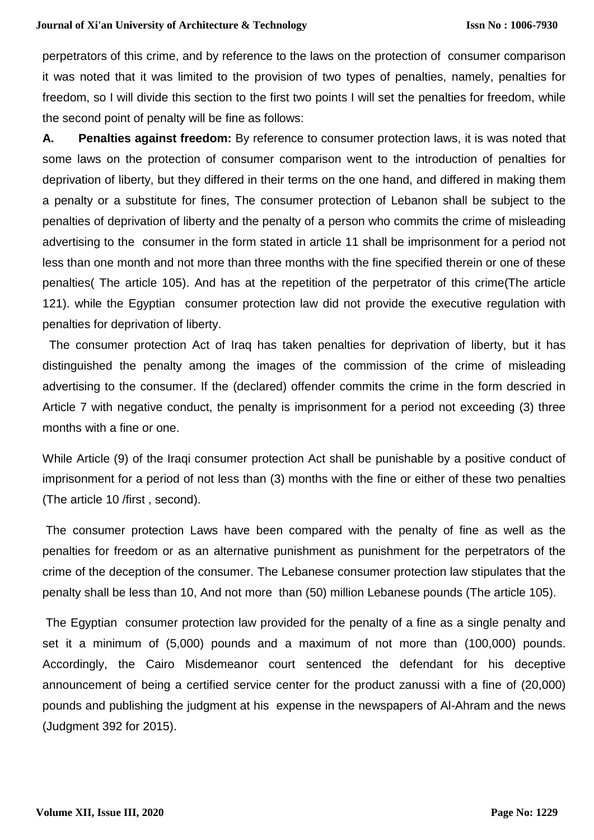#### **Journal of Xi'an University of Architecture & Technology**

perpetrators of this crime, and by reference to the laws on the protection of consumer comparison it was noted that it was limited to the provision of two types of penalties, namely, penalties for freedom, so I will divide this section to the first two points I will set the penalties for freedom, while the second point of penalty will be fine as follows:

**A. Penalties against freedom:** By reference to consumer protection laws, it is was noted that some laws on the protection of consumer comparison went to the introduction of penalties for deprivation of liberty, but they differed in their terms on the one hand, and differed in making them a penalty or a substitute for fines, The consumer protection of Lebanon shall be subject to the penalties of deprivation of liberty and the penalty of a person who commits the crime of misleading advertising to the consumer in the form stated in article 11 shall be imprisonment for a period not less than one month and not more than three months with the fine specified therein or one of these penalties( The article 105). And has at the repetition of the perpetrator of this crime(The article 121). while the Egyptian consumer protection law did not provide the executive regulation with penalties for deprivation of liberty.

The consumer protection Act of Iraq has taken penalties for deprivation of liberty, but it has distinguished the penalty among the images of the commission of the crime of misleading advertising to the consumer. If the (declared) offender commits the crime in the form descried in Article 7 with negative conduct, the penalty is imprisonment for a period not exceeding (3) three months with a fine or one.

While Article (9) of the Iraqi consumer protection Act shall be punishable by a positive conduct of imprisonment for a period of not less than (3) months with the fine or either of these two penalties (The article 10 /first , second).

The consumer protection Laws have been compared with the penalty of fine as well as the penalties for freedom or as an alternative punishment as punishment for the perpetrators of the crime of the deception of the consumer. The Lebanese consumer protection law stipulates that the penalty shall be less than 10, And not more than (50) million Lebanese pounds (The article 105).

The Egyptian consumer protection law provided for the penalty of a fine as a single penalty and set it a minimum of (5,000) pounds and a maximum of not more than (100,000) pounds. Accordingly, the Cairo Misdemeanor court sentenced the defendant for his deceptive announcement of being a certified service center for the product zanussi with a fine of (20,000) pounds and publishing the judgment at his expense in the newspapers of Al-Ahram and the news (Judgment 392 for 2015).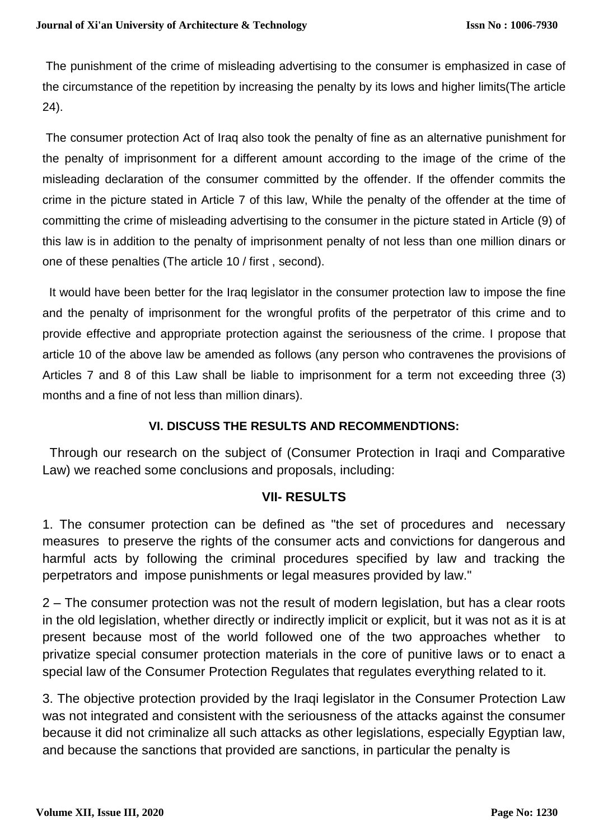The punishment of the crime of misleading advertising to the consumer is emphasized in case of the circumstance of the repetition by increasing the penalty by its lows and higher limits(The article 24).

The consumer protection Act of Iraq also took the penalty of fine as an alternative punishment for the penalty of imprisonment for a different amount according to the image of the crime of the misleading declaration of the consumer committed by the offender. If the offender commits the crime in the picture stated in Article 7 of this law, While the penalty of the offender at the time of committing the crime of misleading advertising to the consumer in the picture stated in Article (9) of this law is in addition to the penalty of imprisonment penalty of not less than one million dinars or one of these penalties (The article 10 / first , second).

 It would have been better for the Iraq legislator in the consumer protection law to impose the fine and the penalty of imprisonment for the wrongful profits of the perpetrator of this crime and to provide effective and appropriate protection against the seriousness of the crime. I propose that article 10 of the above law be amended as follows (any person who contravenes the provisions of Articles 7 and 8 of this Law shall be liable to imprisonment for a term not exceeding three (3) months and a fine of not less than million dinars).

# **VI. DISCUSS THE RESULTS AND RECOMMENDTIONS:**

Through our research on the subiect of (Consumer Protection in Iragi and Comparative Law) we reached some conclusions and proposals, including:

# **VII- RESULTS**

1. The consumer protection can be defined as "the set of procedures and necessary measures to preserve the rights of the consumer acts and convictions for dangerous and harmful acts by following the criminal procedures specified by law and tracking the perpetrators and impose punishments or legal measures provided by law."

2 – The consumer protection was not the result of modern legislation, but has a clear roots in the old legislation, whether directly or indirectly implicit or explicit, but it was not as it is at present because most of the world followed one of the two approaches whether to privatize special consumer protection materials in the core of punitive laws or to enact a special law of the Consumer Protection Regulates that regulates everything related to it.

3. The objective protection provided by the Iraqi legislator in the Consumer Protection Law was not integrated and consistent with the seriousness of the attacks against the consumer because it did not criminalize all such attacks as other legislations, especially Egyptian law, and because the sanctions that provided are sanctions, in particular the penalty is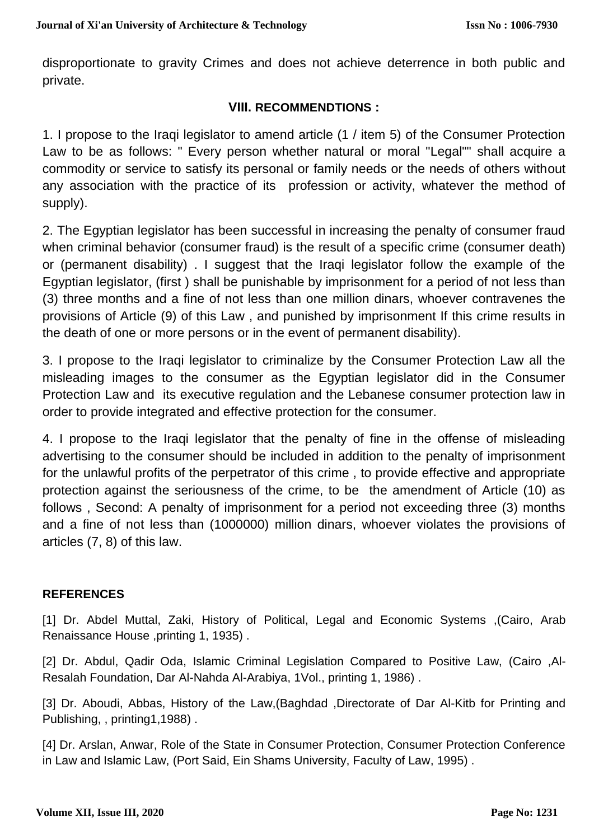disproportionate to gravity Crimes and does not achieve deterrence in both public and private.

# **VIII. RECOMMENDTIONS :**

1. I propose to the Iraqi legislator to amend article (1 / item 5) of the Consumer Protection Law to be as follows: " Every person whether natural or moral "Legal"" shall acquire a commodity or service to satisfy its personal or family needs or the needs of others without any association with the practice of its profession or activity, whatever the method of supply).

2. The Egyptian legislator has been successful in increasing the penalty of consumer fraud when criminal behavior (consumer fraud) is the result of a specific crime (consumer death) or (permanent disability) . I suggest that the Iraqi legislator follow the example of the Egyptian legislator, (first ) shall be punishable by imprisonment for a period of not less than (3) three months and a fine of not less than one million dinars, whoever contravenes the provisions of Article (9) of this Law , and punished by imprisonment If this crime results in the death of one or more persons or in the event of permanent disability).

3. I propose to the Iraqi legislator to criminalize by the Consumer Protection Law all the misleading images to the consumer as the Egyptian legislator did in the Consumer Protection Law and its executive regulation and the Lebanese consumer protection law in order to provide integrated and effective protection for the consumer.

4. I propose to the Iraqi legislator that the penalty of fine in the offense of misleading advertising to the consumer should be included in addition to the penalty of imprisonment for the unlawful profits of the perpetrator of this crime , to provide effective and appropriate protection against the seriousness of the crime, to be the amendment of Article (10) as follows , Second: A penalty of imprisonment for a period not exceeding three (3) months and a fine of not less than (1000000) million dinars, whoever violates the provisions of articles (7, 8) of this law.

# **REFERENCES**

[1] Dr. Abdel Muttal, Zaki, History of Political, Legal and Economic Systems ,(Cairo, Arab Renaissance House ,printing 1, 1935) .

[2] Dr. Abdul, Qadir Oda, Islamic Criminal Legislation Compared to Positive Law, (Cairo ,Al-Resalah Foundation, Dar Al-Nahda Al-Arabiya, 1Vol., printing 1, 1986) .

[3] Dr. Aboudi, Abbas, History of the Law, (Baghdad , Directorate of Dar Al-Kitb for Printing and Publishing, , printing1,1988) .

[4] Dr. Arslan, Anwar, Role of the State in Consumer Protection, Consumer Protection Conference in Law and Islamic Law, (Port Said, Ein Shams University, Faculty of Law, 1995) .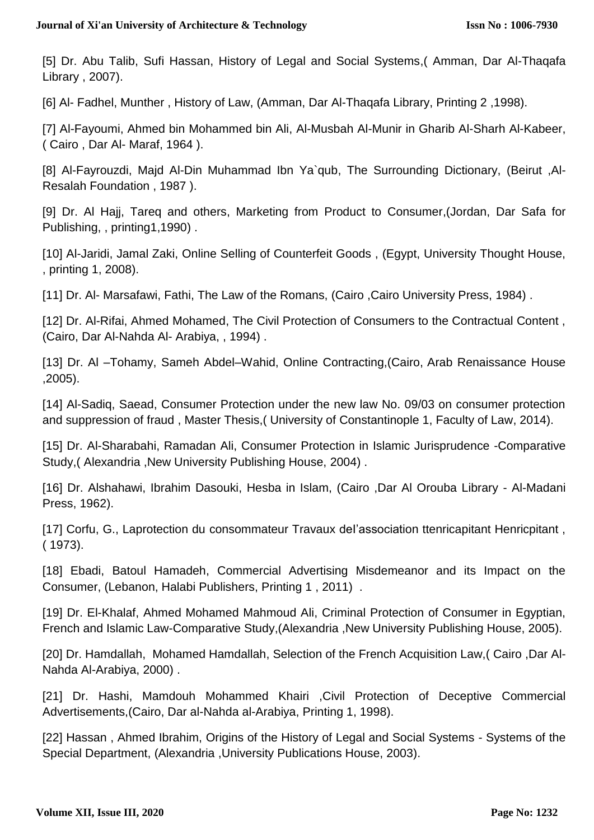[5] Dr. Abu Talib, Sufi Hassan, History of Legal and Social Systems,( Amman, Dar Al-Thaqafa Library , 2007).

[6] Al- Fadhel, Munther , History of Law, (Amman, Dar Al-Thaqafa Library, Printing 2 ,1998).

[7] Al-Fayoumi, Ahmed bin Mohammed bin Ali, Al-Musbah Al-Munir in Gharib Al-Sharh Al-Kabeer, ( Cairo , Dar Al- Maraf, 1964 ).

[8] Al-Fayrouzdi, Majd Al-Din Muhammad Ibn Ya`qub, The Surrounding Dictionary, (Beirut ,Al-Resalah Foundation , 1987 ).

[9] Dr. Al Hajj, Tareq and others, Marketing from Product to Consumer,(Jordan, Dar Safa for Publishing, , printing1,1990) .

[10] Al-Jaridi, Jamal Zaki, Online Selling of Counterfeit Goods , (Egypt, University Thought House, , printing 1, 2008).

[11] Dr. Al- Marsafawi, Fathi, The Law of the Romans, (Cairo, Cairo University Press, 1984).

[12] Dr. Al-Rifai, Ahmed Mohamed, The Civil Protection of Consumers to the Contractual Content , (Cairo, Dar Al-Nahda Al- Arabiya, , 1994) .

[13] Dr. Al –Tohamy, Sameh Abdel–Wahid, Online Contracting, (Cairo, Arab Renaissance House ,2005).

[14] Al-Sadiq, Saead, Consumer Protection under the new law No. 09/03 on consumer protection and suppression of fraud , Master Thesis,( University of Constantinople 1, Faculty of Law, 2014).

[15] Dr. Al-Sharabahi, Ramadan Ali, Consumer Protection in Islamic Jurisprudence -Comparative Study,( Alexandria ,New University Publishing House, 2004) .

[16] Dr. Alshahawi, Ibrahim Dasouki, Hesba in Islam, (Cairo ,Dar Al Orouba Library - Al-Madani Press, 1962).

[17] Corfu, G., Laprotection du consommateur Travaux deI'association ttenricapitant Henricpitant , ( 1973).

[18] Ebadi, Batoul Hamadeh, Commercial Advertising Misdemeanor and its Impact on the Consumer, (Lebanon, Halabi Publishers, Printing 1 , 2011) .

[19] Dr. El-Khalaf, Ahmed Mohamed Mahmoud Ali, Criminal Protection of Consumer in Egyptian, French and Islamic Law-Comparative Study,(Alexandria ,New University Publishing House, 2005).

[20] Dr. Hamdallah, Mohamed Hamdallah, Selection of the French Acquisition Law,( Cairo ,Dar Al-Nahda Al-Arabiya, 2000) .

[21] Dr. Hashi, Mamdouh Mohammed Khairi ,Civil Protection of Deceptive Commercial Advertisements,(Cairo, Dar al-Nahda al-Arabiya, Printing 1, 1998).

[22] Hassan , Ahmed Ibrahim, Origins of the History of Legal and Social Systems - Systems of the Special Department, (Alexandria ,University Publications House, 2003).